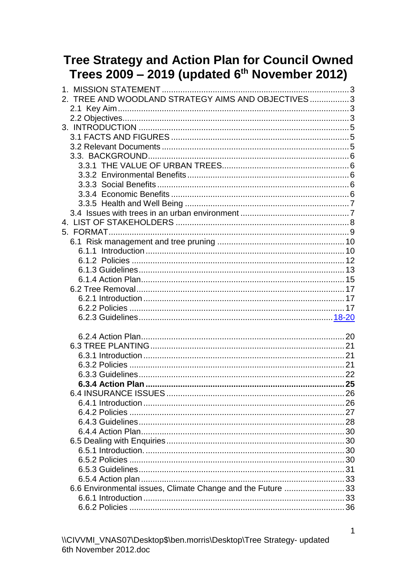# Tree Strategy and Action Plan for Council Owned<br>Trees 2009 - 2019 (updated 6<sup>th</sup> November 2012)

| TREE AND WOODLAND STRATEGY AIMS AND OBJECTIVES3            |  |
|------------------------------------------------------------|--|
|                                                            |  |
|                                                            |  |
|                                                            |  |
|                                                            |  |
|                                                            |  |
|                                                            |  |
|                                                            |  |
|                                                            |  |
|                                                            |  |
|                                                            |  |
|                                                            |  |
|                                                            |  |
|                                                            |  |
|                                                            |  |
|                                                            |  |
|                                                            |  |
|                                                            |  |
|                                                            |  |
|                                                            |  |
|                                                            |  |
|                                                            |  |
|                                                            |  |
|                                                            |  |
|                                                            |  |
|                                                            |  |
|                                                            |  |
|                                                            |  |
|                                                            |  |
|                                                            |  |
|                                                            |  |
|                                                            |  |
|                                                            |  |
|                                                            |  |
|                                                            |  |
|                                                            |  |
|                                                            |  |
|                                                            |  |
|                                                            |  |
|                                                            |  |
|                                                            |  |
| 6.6 Environmental issues, Climate Change and the Future 33 |  |
|                                                            |  |
|                                                            |  |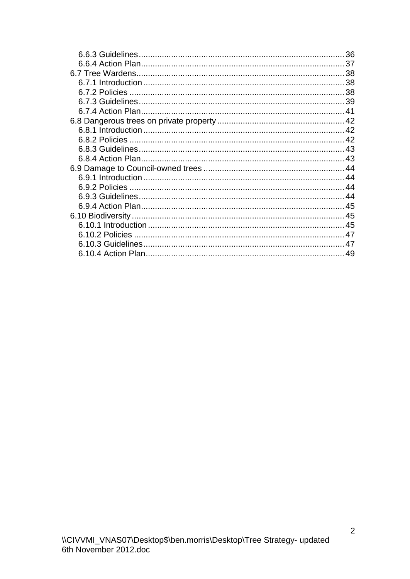| 36 |
|----|
|    |
|    |
|    |
|    |
|    |
|    |
|    |
|    |
|    |
|    |
|    |
|    |
|    |
|    |
|    |
|    |
|    |
|    |
|    |
|    |
|    |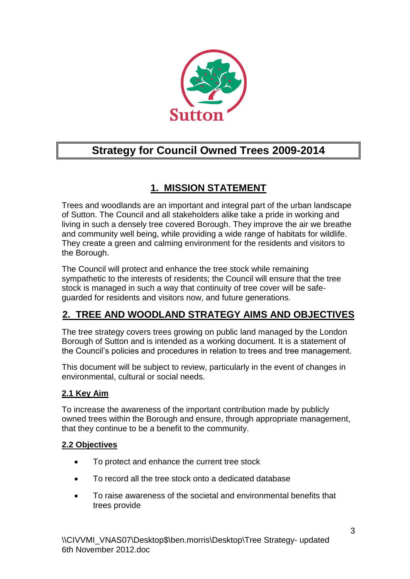

# **Strategy for Council Owned Trees 2009-2014**

# **1. MISSION STATEMENT**

<span id="page-2-0"></span>Trees and woodlands are an important and integral part of the urban landscape of Sutton. The Council and all stakeholders alike take a pride in working and living in such a densely tree covered Borough. They improve the air we breathe and community well being, while providing a wide range of habitats for wildlife. They create a green and calming environment for the residents and visitors to the Borough.

The Council will protect and enhance the tree stock while remaining sympathetic to the interests of residents; the Council will ensure that the tree stock is managed in such a way that continuity of tree cover will be safeguarded for residents and visitors now, and future generations.

# <span id="page-2-1"></span>**2. TREE AND WOODLAND STRATEGY AIMS AND OBJECTIVES**

The tree strategy covers trees growing on public land managed by the London Borough of Sutton and is intended as a working document. It is a statement of the Council's policies and procedures in relation to trees and tree management.

This document will be subject to review, particularly in the event of changes in environmental, cultural or social needs.

## <span id="page-2-2"></span>**2.1 Key Aim**

To increase the awareness of the important contribution made by publicly owned trees within the Borough and ensure, through appropriate management, that they continue to be a benefit to the community.

## <span id="page-2-3"></span>**2.2 Objectives**

- To protect and enhance the current tree stock
- To record all the tree stock onto a dedicated database
- To raise awareness of the societal and environmental benefits that trees provide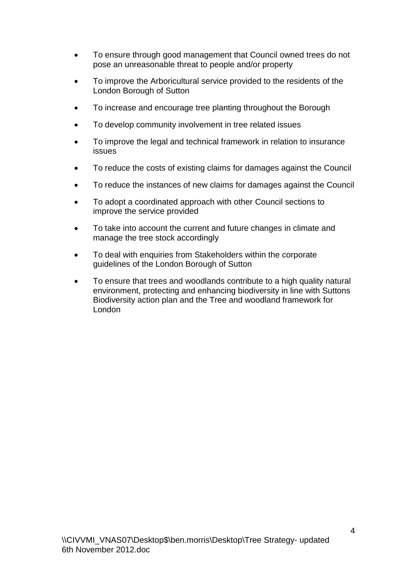- To ensure through good management that Council owned trees do not pose an unreasonable threat to people and/or property
- To improve the Arboricultural service provided to the residents of the London Borough of Sutton
- To increase and encourage tree planting throughout the Borough
- To develop community involvement in tree related issues
- To improve the legal and technical framework in relation to insurance issues
- To reduce the costs of existing claims for damages against the Council
- To reduce the instances of new claims for damages against the Council
- To adopt a coordinated approach with other Council sections to improve the service provided
- To take into account the current and future changes in climate and manage the tree stock accordingly
- To deal with enquiries from Stakeholders within the corporate guidelines of the London Borough of Sutton
- To ensure that trees and woodlands contribute to a high quality natural environment, protecting and enhancing biodiversity in line with Suttons Biodiversity action plan and the Tree and woodland framework for London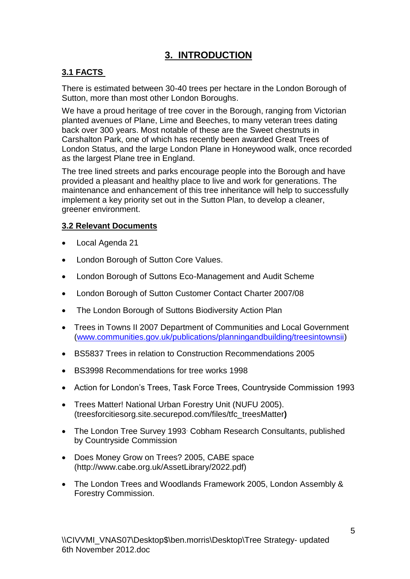# **3. INTRODUCTION**

## <span id="page-4-1"></span><span id="page-4-0"></span>**3.1 FACTS**

There is estimated between 30-40 trees per hectare in the London Borough of Sutton, more than most other London Boroughs.

We have a proud heritage of tree cover in the Borough, ranging from Victorian planted avenues of Plane, Lime and Beeches, to many veteran trees dating back over 300 years. Most notable of these are the Sweet chestnuts in Carshalton Park, one of which has recently been awarded Great Trees of London Status, and the large London Plane in Honeywood walk, once recorded as the largest Plane tree in England.

The tree lined streets and parks encourage people into the Borough and have provided a pleasant and healthy place to live and work for generations. The maintenance and enhancement of this tree inheritance will help to successfully implement a key priority set out in the Sutton Plan, to develop a cleaner, greener environment.

## <span id="page-4-2"></span>**3.2 Relevant Documents**

- Local Agenda 21
- London Borough of Sutton Core Values.
- London Borough of Suttons Eco-Management and Audit Scheme
- London Borough of Sutton Customer Contact Charter 2007/08
- The London Borough of Suttons Biodiversity Action Plan
- Trees in Towns II 2007 Department of Communities and Local Government [\(www.communities.gov.uk/publications/planningandbuilding/treesintownsii\)](http://www.communities.gov.uk/publications/planningandbuilding/treesintownsii)
- BS5837 Trees in relation to Construction Recommendations 2005
- BS3998 Recommendations for tree works 1998
- Action for London's Trees, Task Force Trees, Countryside Commission 1993
- Trees Matter! National Urban Forestry Unit (NUFU 2005). (treesforcitiesorg.site.securepod.com/files/tfc\_treesMatter**)**
- The London Tree Survey 1993 Cobham Research Consultants, published by Countryside Commission
- Does Money Grow on Trees? 2005, CABE space (http://www.cabe.org.uk/AssetLibrary/2022.pdf)
- The London Trees and Woodlands Framework 2005, London Assembly & Forestry Commission.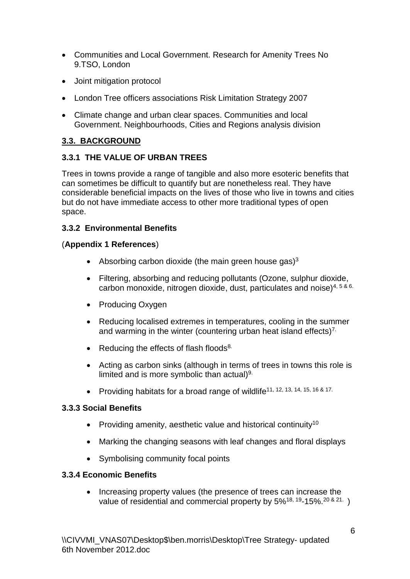- Communities and Local Government. Research for Amenity Trees No 9.TSO, London
- Joint mitigation protocol
- London Tree officers associations Risk Limitation Strategy 2007
- Climate change and urban clear spaces. Communities and local Government. Neighbourhoods, Cities and Regions analysis division

## <span id="page-5-0"></span>**3.3. BACKGROUND**

## <span id="page-5-1"></span>**3.3.1 THE VALUE OF URBAN TREES**

Trees in towns provide a range of tangible and also more esoteric benefits that can sometimes be difficult to quantify but are nonetheless real. They have considerable beneficial impacts on the lives of those who live in towns and cities but do not have immediate access to other more traditional types of open space.

## <span id="page-5-2"></span>**3.3.2 Environmental Benefits**

## (**Appendix 1 References**)

- Absorbing carbon dioxide (the main green house gas) $3$
- Filtering, absorbing and reducing pollutants (Ozone, sulphur dioxide, carbon monoxide, nitrogen dioxide, dust, particulates and noise)4, 5 & 6.
- Producing Oxygen
- Reducing localised extremes in temperatures, cooling in the summer and warming in the winter (countering urban heat island effects)<sup>7.</sup>
- Reducing the effects of flash floods $8$ .
- Acting as carbon sinks (although in terms of trees in towns this role is limited and is more symbolic than actual)<sup>9.</sup>
- Providing habitats for a broad range of wildlife<sup>11, 12, 13, 14, 15, 16 & 17.</sup>

## <span id="page-5-3"></span>**3.3.3 Social Benefits**

- Providing amenity, aesthetic value and historical continuity<sup>10</sup>
- Marking the changing seasons with leaf changes and floral displays
- Symbolising community focal points

## <span id="page-5-4"></span>**3.3.4 Economic Benefits**

 Increasing property values (the presence of trees can increase the value of residential and commercial property by 5%<sup>18, 19</sup>-15%.<sup>20 & 21.</sup>)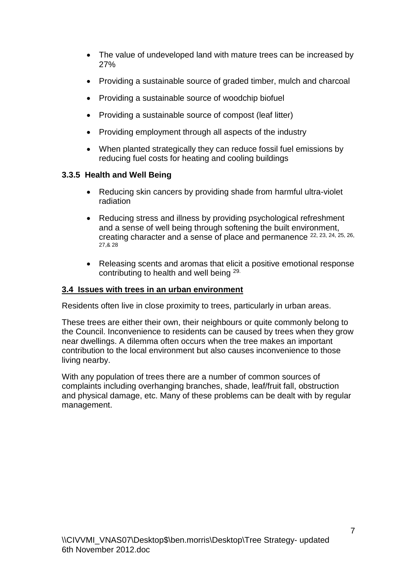- The value of undeveloped land with mature trees can be increased by 27%
- Providing a sustainable source of graded timber, mulch and charcoal
- Providing a sustainable source of woodchip biofuel
- Providing a sustainable source of compost (leaf litter)
- Providing employment through all aspects of the industry
- When planted strategically they can reduce fossil fuel emissions by reducing fuel costs for heating and cooling buildings

## <span id="page-6-0"></span>**3.3.5 Health and Well Being**

- Reducing skin cancers by providing shade from harmful ultra-violet radiation
- Reducing stress and illness by providing psychological refreshment and a sense of well being through softening the built environment, creating character and a sense of place and permanence 22, 23, 24, 25, 26, 27,& 28
- Releasing scents and aromas that elicit a positive emotional response contributing to health and well being 29.

## <span id="page-6-1"></span>**3.4 Issues with trees in an urban environment**

Residents often live in close proximity to trees, particularly in urban areas.

These trees are either their own, their neighbours or quite commonly belong to the Council. Inconvenience to residents can be caused by trees when they grow near dwellings. A dilemma often occurs when the tree makes an important contribution to the local environment but also causes inconvenience to those living nearby.

With any population of trees there are a number of common sources of complaints including overhanging branches, shade, leaf/fruit fall, obstruction and physical damage, etc. Many of these problems can be dealt with by regular management.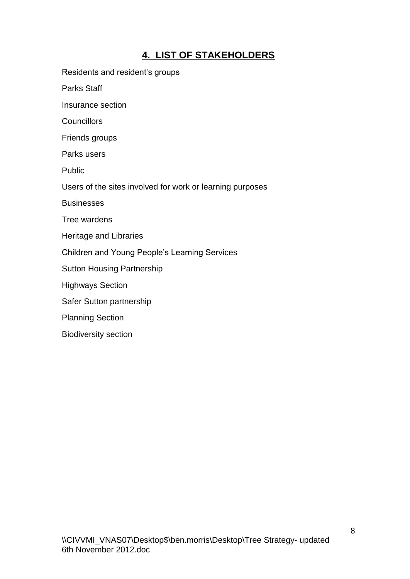# **4. LIST OF STAKEHOLDERS**

<span id="page-7-0"></span>Residents and resident's groups

Parks Staff

Insurance section

**Councillors** 

Friends groups

Parks users

Public

Users of the sites involved for work or learning purposes

**Businesses** 

Tree wardens

Heritage and Libraries

Children and Young People's Learning Services

Sutton Housing Partnership

Highways Section

Safer Sutton partnership

Planning Section

Biodiversity section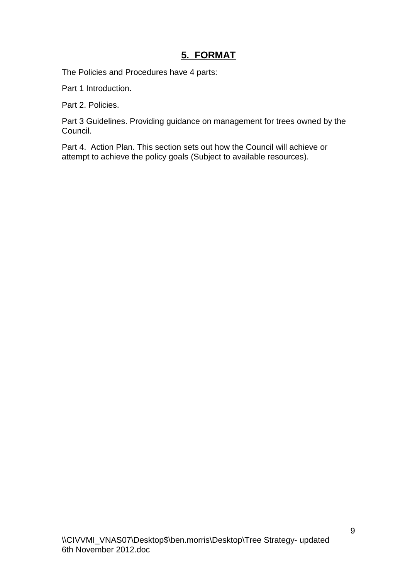# **5. FORMAT**

<span id="page-8-0"></span>The Policies and Procedures have 4 parts:

Part 1 Introduction.

Part 2. Policies.

Part 3 Guidelines. Providing guidance on management for trees owned by the Council.

Part 4. Action Plan. This section sets out how the Council will achieve or attempt to achieve the policy goals (Subject to available resources).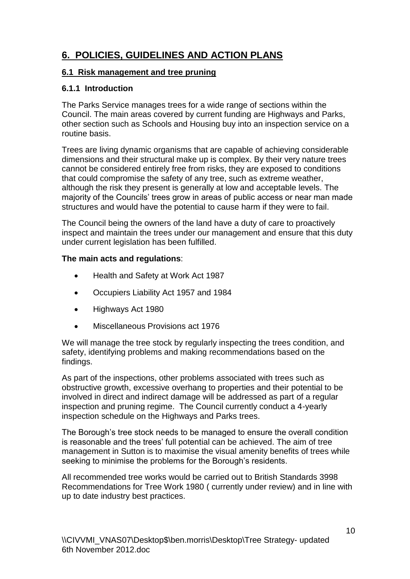# **6. POLICIES, GUIDELINES AND ACTION PLANS**

## <span id="page-9-0"></span>**6.1 Risk management and tree pruning**

## <span id="page-9-1"></span>**6.1.1 Introduction**

The Parks Service manages trees for a wide range of sections within the Council. The main areas covered by current funding are Highways and Parks, other section such as Schools and Housing buy into an inspection service on a routine basis.

Trees are living dynamic organisms that are capable of achieving considerable dimensions and their structural make up is complex. By their very nature trees cannot be considered entirely free from risks, they are exposed to conditions that could compromise the safety of any tree, such as extreme weather, although the risk they present is generally at low and acceptable levels. The majority of the Councils' trees grow in areas of public access or near man made structures and would have the potential to cause harm if they were to fail.

The Council being the owners of the land have a duty of care to proactively inspect and maintain the trees under our management and ensure that this duty under current legislation has been fulfilled.

## **The main acts and regulations**:

- Health and Safety at Work Act 1987
- Occupiers Liability Act 1957 and 1984
- Highways Act 1980
- Miscellaneous Provisions act 1976

We will manage the tree stock by regularly inspecting the trees condition, and safety, identifying problems and making recommendations based on the findings.

As part of the inspections, other problems associated with trees such as obstructive growth, excessive overhang to properties and their potential to be involved in direct and indirect damage will be addressed as part of a regular inspection and pruning regime. The Council currently conduct a 4-yearly inspection schedule on the Highways and Parks trees.

The Borough's tree stock needs to be managed to ensure the overall condition is reasonable and the trees' full potential can be achieved. The aim of tree management in Sutton is to maximise the visual amenity benefits of trees while seeking to minimise the problems for the Borough's residents.

All recommended tree works would be carried out to British Standards 3998 Recommendations for Tree Work 1980 ( currently under review) and in line with up to date industry best practices.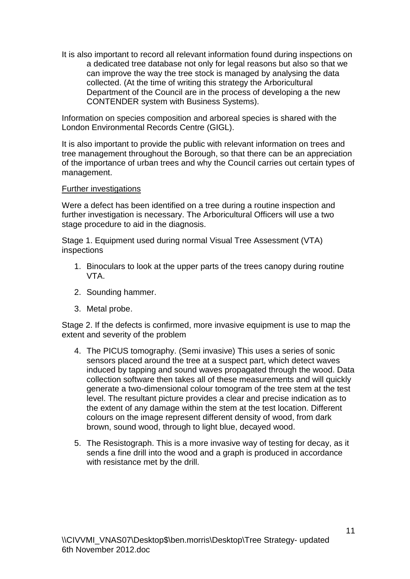It is also important to record all relevant information found during inspections on a dedicated tree database not only for legal reasons but also so that we can improve the way the tree stock is managed by analysing the data collected. (At the time of writing this strategy the Arboricultural Department of the Council are in the process of developing a the new CONTENDER system with Business Systems).

Information on species composition and arboreal species is shared with the London Environmental Records Centre (GIGL).

It is also important to provide the public with relevant information on trees and tree management throughout the Borough, so that there can be an appreciation of the importance of urban trees and why the Council carries out certain types of management.

#### Further investigations

Were a defect has been identified on a tree during a routine inspection and further investigation is necessary. The Arboricultural Officers will use a two stage procedure to aid in the diagnosis.

Stage 1. Equipment used during normal Visual Tree Assessment (VTA) inspections

- 1. Binoculars to look at the upper parts of the trees canopy during routine VTA.
- 2. Sounding hammer.
- 3. Metal probe.

Stage 2. If the defects is confirmed, more invasive equipment is use to map the extent and severity of the problem

- 4. The PICUS tomography. (Semi invasive) This uses a series of sonic sensors placed around the tree at a suspect part, which detect waves induced by tapping and sound waves propagated through the wood. Data collection software then takes all of these measurements and will quickly generate a two-dimensional colour tomogram of the tree stem at the test level. The resultant picture provides a clear and precise indication as to the extent of any damage within the stem at the test location. Different colours on the image represent different density of wood, from dark brown, sound wood, through to light blue, decayed wood.
- 5. The Resistograph. This is a more invasive way of testing for decay, as it sends a fine drill into the wood and a graph is produced in accordance with resistance met by the drill.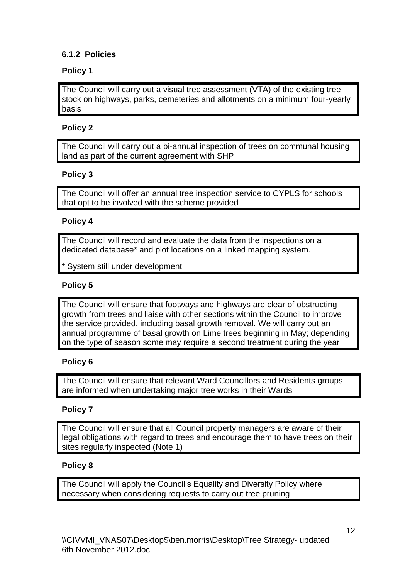## <span id="page-11-0"></span>**6.1.2 Policies**

## **Policy 1**

The Council will carry out a visual tree assessment (VTA) of the existing tree stock on highways, parks, cemeteries and allotments on a minimum four-yearly basis

## **Policy 2**

The Council will carry out a bi-annual inspection of trees on communal housing land as part of the current agreement with SHP

## **Policy 3**

The Council will offer an annual tree inspection service to CYPLS for schools that opt to be involved with the scheme provided

## **Policy 4**

The Council will record and evaluate the data from the inspections on a dedicated database\* and plot locations on a linked mapping system.

System still under development

## **Policy 5**

The Council will ensure that footways and highways are clear of obstructing growth from trees and liaise with other sections within the Council to improve the service provided, including basal growth removal. We will carry out an annual programme of basal growth on Lime trees beginning in May; depending on the type of season some may require a second treatment during the year

## **Policy 6**

The Council will ensure that relevant Ward Councillors and Residents groups are informed when undertaking major tree works in their Wards

## **Policy 7**

The Council will ensure that all Council property managers are aware of their legal obligations with regard to trees and encourage them to have trees on their sites regularly inspected (Note 1)

## **Policy 8**

The Council will apply the Council's Equality and Diversity Policy where necessary when considering requests to carry out tree pruning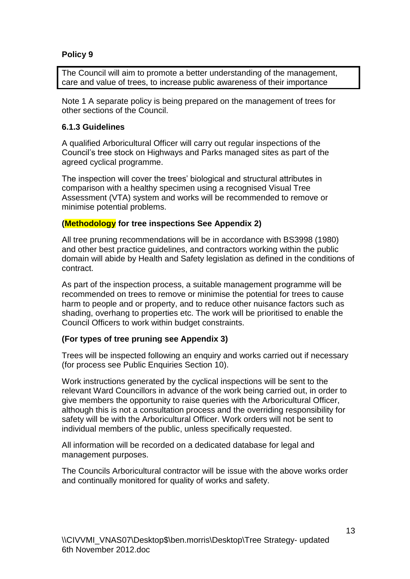## **Policy 9**

The Council will aim to promote a better understanding of the management, care and value of trees, to increase public awareness of their importance

Note 1 A separate policy is being prepared on the management of trees for other sections of the Council.

#### <span id="page-12-0"></span>**6.1.3 Guidelines**

A qualified Arboricultural Officer will carry out regular inspections of the Council's tree stock on Highways and Parks managed sites as part of the agreed cyclical programme.

The inspection will cover the trees' biological and structural attributes in comparison with a healthy specimen using a recognised Visual Tree Assessment (VTA) system and works will be recommended to remove or minimise potential problems.

#### **(Methodology for tree inspections See Appendix 2)**

All tree pruning recommendations will be in accordance with BS3998 (1980) and other best practice guidelines, and contractors working within the public domain will abide by Health and Safety legislation as defined in the conditions of contract.

As part of the inspection process, a suitable management programme will be recommended on trees to remove or minimise the potential for trees to cause harm to people and or property, and to reduce other nuisance factors such as shading, overhang to properties etc. The work will be prioritised to enable the Council Officers to work within budget constraints.

#### **(For types of tree pruning see Appendix 3)**

Trees will be inspected following an enquiry and works carried out if necessary (for process see Public Enquiries Section 10).

Work instructions generated by the cyclical inspections will be sent to the relevant Ward Councillors in advance of the work being carried out, in order to give members the opportunity to raise queries with the Arboricultural Officer, although this is not a consultation process and the overriding responsibility for safety will be with the Arboricultural Officer. Work orders will not be sent to individual members of the public, unless specifically requested.

All information will be recorded on a dedicated database for legal and management purposes.

The Councils Arboricultural contractor will be issue with the above works order and continually monitored for quality of works and safety.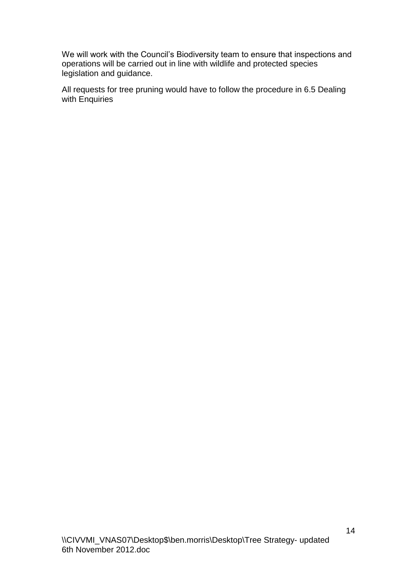We will work with the Council's Biodiversity team to ensure that inspections and operations will be carried out in line with wildlife and protected species legislation and guidance.

All requests for tree pruning would have to follow the procedure in 6.5 Dealing with Enquiries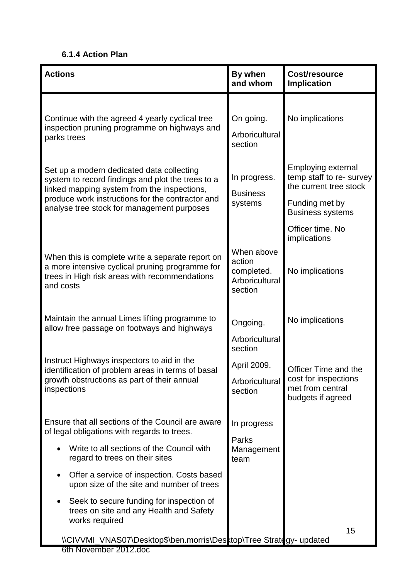## <span id="page-14-0"></span>**6.1.4 Action Plan**

| <b>Actions</b>                                                                                                                                                                                                                                  | By when<br>and whom                                             | Cost/resource<br><b>Implication</b>                                                                                          |  |  |
|-------------------------------------------------------------------------------------------------------------------------------------------------------------------------------------------------------------------------------------------------|-----------------------------------------------------------------|------------------------------------------------------------------------------------------------------------------------------|--|--|
| Continue with the agreed 4 yearly cyclical tree<br>inspection pruning programme on highways and<br>parks trees                                                                                                                                  | On going.<br>Arboricultural<br>section                          | No implications                                                                                                              |  |  |
| Set up a modern dedicated data collecting<br>system to record findings and plot the trees to a<br>linked mapping system from the inspections,<br>produce work instructions for the contractor and<br>analyse tree stock for management purposes | In progress.<br><b>Business</b><br>systems                      | <b>Employing external</b><br>temp staff to re- survey<br>the current tree stock<br>Funding met by<br><b>Business systems</b> |  |  |
| When this is complete write a separate report on<br>a more intensive cyclical pruning programme for<br>trees in High risk areas with recommendations<br>and costs                                                                               | When above<br>action<br>completed.<br>Arboricultural<br>section | Officer time. No<br>implications<br>No implications                                                                          |  |  |
| Maintain the annual Limes lifting programme to<br>allow free passage on footways and highways                                                                                                                                                   | Ongoing.<br>Arboricultural<br>section                           | No implications                                                                                                              |  |  |
| Instruct Highways inspectors to aid in the<br>identification of problem areas in terms of basal<br>growth obstructions as part of their annual<br>inspections                                                                                   | April 2009.<br>Arboricultural<br>section                        | Officer Time and the<br>cost for inspections<br>met from central<br>budgets if agreed                                        |  |  |
| Ensure that all sections of the Council are aware<br>of legal obligations with regards to trees.<br>Write to all sections of the Council with<br>regard to trees on their sites<br>Offer a service of inspection. Costs based                   | In progress<br>Parks<br>Management<br>team                      |                                                                                                                              |  |  |
| upon size of the site and number of trees<br>Seek to secure funding for inspection of<br>trees on site and any Health and Safety<br>works required<br>\\CIVVMI_VNAS07\Desktop\$\ben.morris\Desktop\Tree Strategy- updated                       |                                                                 | 15                                                                                                                           |  |  |
| 6th November 2012.doc                                                                                                                                                                                                                           |                                                                 |                                                                                                                              |  |  |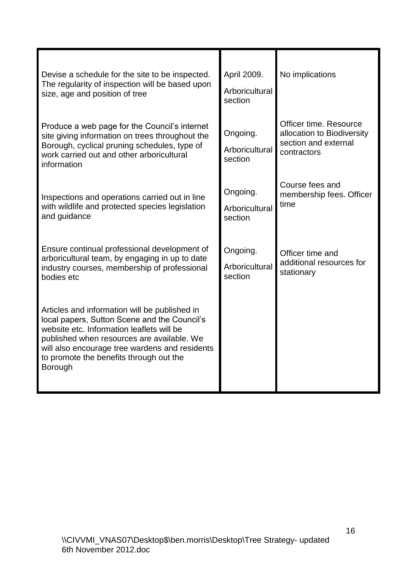| Devise a schedule for the site to be inspected.<br>The regularity of inspection will be based upon<br>size, age and position of tree                                                                                                                                                                    | April 2009.<br>Arboricultural<br>section | No implications                                                                             |
|---------------------------------------------------------------------------------------------------------------------------------------------------------------------------------------------------------------------------------------------------------------------------------------------------------|------------------------------------------|---------------------------------------------------------------------------------------------|
| Produce a web page for the Council's internet<br>site giving information on trees throughout the<br>Borough, cyclical pruning schedules, type of<br>work carried out and other arboricultural<br>information                                                                                            | Ongoing.<br>Arboricultural<br>section    | Officer time, Resource<br>allocation to Biodiversity<br>section and external<br>contractors |
| Inspections and operations carried out in line<br>with wildlife and protected species legislation<br>and guidance                                                                                                                                                                                       | Ongoing.<br>Arboricultural<br>section    | Course fees and<br>membership fees. Officer<br>time                                         |
| Ensure continual professional development of<br>arboricultural team, by engaging in up to date<br>industry courses, membership of professional<br>bodies etc                                                                                                                                            | Ongoing.<br>Arboricultural<br>section    | Officer time and<br>additional resources for<br>stationary                                  |
| Articles and information will be published in<br>local papers, Sutton Scene and the Council's<br>website etc. Information leaflets will be<br>published when resources are available. We<br>will also encourage tree wardens and residents<br>to promote the benefits through out the<br><b>Borough</b> |                                          |                                                                                             |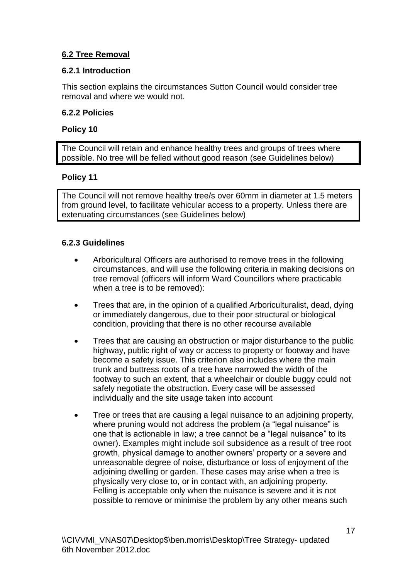## <span id="page-16-0"></span>**6.2 Tree Removal**

## <span id="page-16-1"></span>**6.2.1 Introduction**

This section explains the circumstances Sutton Council would consider tree removal and where we would not.

## <span id="page-16-2"></span>**6.2.2 Policies**

#### **Policy 10**

The Council will retain and enhance healthy trees and groups of trees where possible. No tree will be felled without good reason (see Guidelines below)

## **Policy 11**

The Council will not remove healthy tree/s over 60mm in diameter at 1.5 meters from ground level, to facilitate vehicular access to a property. Unless there are extenuating circumstances (see Guidelines below)

## **6.2.3 Guidelines**

- Arboricultural Officers are authorised to remove trees in the following circumstances, and will use the following criteria in making decisions on tree removal (officers will inform Ward Councillors where practicable when a tree is to be removed):
- Trees that are, in the opinion of a qualified Arboriculturalist, dead, dying or immediately dangerous, due to their poor structural or biological condition, providing that there is no other recourse available
- Trees that are causing an obstruction or major disturbance to the public highway, public right of way or access to property or footway and have become a safety issue. This criterion also includes where the main trunk and buttress roots of a tree have narrowed the width of the footway to such an extent, that a wheelchair or double buggy could not safely negotiate the obstruction. Every case will be assessed individually and the site usage taken into account
- Tree or trees that are causing a legal nuisance to an adjoining property, where pruning would not address the problem (a "legal nuisance" is one that is actionable in law; a tree cannot be a "legal nuisance" to its owner). Examples might include soil subsidence as a result of tree root growth, physical damage to another owners' property or a severe and unreasonable degree of noise, disturbance or loss of enjoyment of the adjoining dwelling or garden. These cases may arise when a tree is physically very close to, or in contact with, an adjoining property. Felling is acceptable only when the nuisance is severe and it is not possible to remove or minimise the problem by any other means such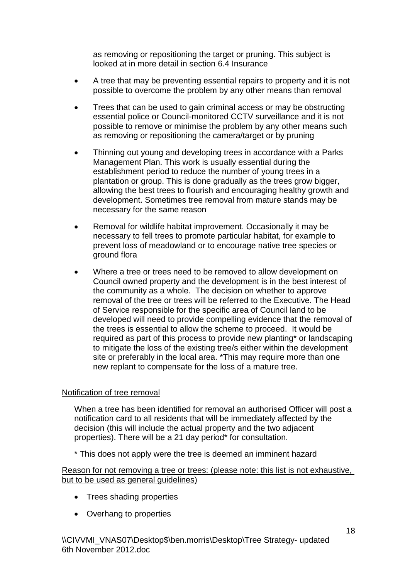as removing or repositioning the target or pruning. This subject is looked at in more detail in section 6.4 Insurance

- A tree that may be preventing essential repairs to property and it is not possible to overcome the problem by any other means than removal
- Trees that can be used to gain criminal access or may be obstructing essential police or Council-monitored CCTV surveillance and it is not possible to remove or minimise the problem by any other means such as removing or repositioning the camera/target or by pruning
- Thinning out young and developing trees in accordance with a Parks Management Plan. This work is usually essential during the establishment period to reduce the number of young trees in a plantation or group. This is done gradually as the trees grow bigger, allowing the best trees to flourish and encouraging healthy growth and development. Sometimes tree removal from mature stands may be necessary for the same reason
- Removal for wildlife habitat improvement. Occasionally it may be necessary to fell trees to promote particular habitat, for example to prevent loss of meadowland or to encourage native tree species or ground flora
- Where a tree or trees need to be removed to allow development on Council owned property and the development is in the best interest of the community as a whole. The decision on whether to approve removal of the tree or trees will be referred to the Executive. The Head of Service responsible for the specific area of Council land to be developed will need to provide compelling evidence that the removal of the trees is essential to allow the scheme to proceed. It would be required as part of this process to provide new planting\* or landscaping to mitigate the loss of the existing tree/s either within the development site or preferably in the local area. \*This may require more than one new replant to compensate for the loss of a mature tree.

#### Notification of tree removal

When a tree has been identified for removal an authorised Officer will post a notification card to all residents that will be immediately affected by the decision (this will include the actual property and the two adjacent properties). There will be a 21 day period\* for consultation.

\* This does not apply were the tree is deemed an imminent hazard

Reason for not removing a tree or trees: (please note: this list is not exhaustive, but to be used as general guidelines)

- Trees shading properties
- Overhang to properties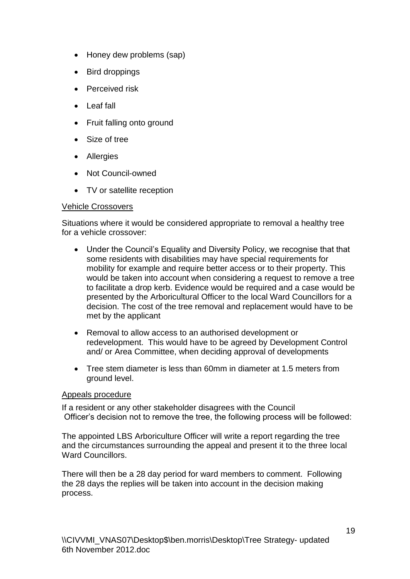- Honey dew problems (sap)
- Bird droppings
- Perceived risk
- Leaf fall
- Fruit falling onto ground
- Size of tree
- Allergies
- Not Council-owned
- TV or satellite reception

#### Vehicle Crossovers

Situations where it would be considered appropriate to removal a healthy tree for a vehicle crossover:

- Under the Council's Equality and Diversity Policy, we recognise that that some residents with disabilities may have special requirements for mobility for example and require better access or to their property. This would be taken into account when considering a request to remove a tree to facilitate a drop kerb. Evidence would be required and a case would be presented by the Arboricultural Officer to the local Ward Councillors for a decision. The cost of the tree removal and replacement would have to be met by the applicant
- Removal to allow access to an authorised development or redevelopment. This would have to be agreed by Development Control and/ or Area Committee, when deciding approval of developments
- Tree stem diameter is less than 60mm in diameter at 1.5 meters from ground level.

#### Appeals procedure

If a resident or any other stakeholder disagrees with the Council Officer's decision not to remove the tree, the following process will be followed:

The appointed LBS Arboriculture Officer will write a report regarding the tree and the circumstances surrounding the appeal and present it to the three local Ward Councillors.

There will then be a 28 day period for ward members to comment. Following the 28 days the replies will be taken into account in the decision making process.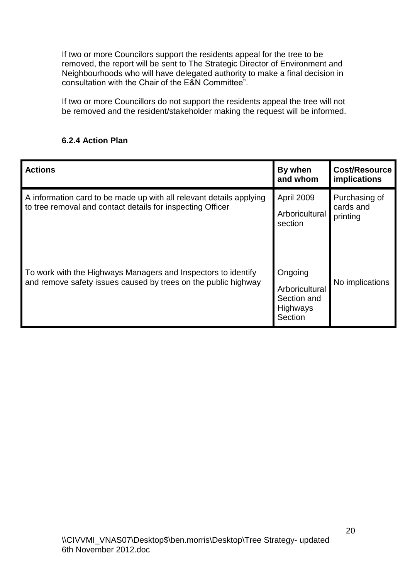If two or more Councilors support the residents appeal for the tree to be removed, the report will be sent to The Strategic Director of Environment and Neighbourhoods who will have delegated authority to make a final decision in consultation with the Chair of the E&N Committee".

If two or more Councillors do not support the residents appeal the tree will not be removed and the resident/stakeholder making the request will be informed.

## <span id="page-19-0"></span>**6.2.4 Action Plan**

| <b>Actions</b>                                                                                                                    | By when<br>and whom                                                    | <b>Cost/Resource</b><br>implications   |
|-----------------------------------------------------------------------------------------------------------------------------------|------------------------------------------------------------------------|----------------------------------------|
| A information card to be made up with all relevant details applying<br>to tree removal and contact details for inspecting Officer | <b>April 2009</b><br>Arboricultural<br>section                         | Purchasing of<br>cards and<br>printing |
| To work with the Highways Managers and Inspectors to identify<br>and remove safety issues caused by trees on the public highway   | Ongoing<br>Arboricultural<br>Section and<br><b>Highways</b><br>Section | No implications                        |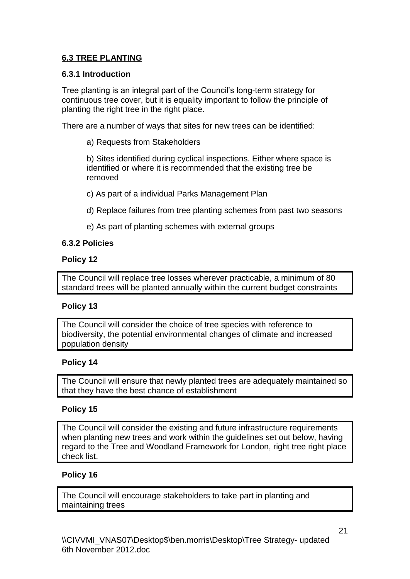## <span id="page-20-0"></span>**6.3 TREE PLANTING**

## <span id="page-20-1"></span>**6.3.1 Introduction**

Tree planting is an integral part of the Council's long-term strategy for continuous tree cover, but it is equality important to follow the principle of planting the right tree in the right place.

There are a number of ways that sites for new trees can be identified:

a) Requests from Stakeholders

b) Sites identified during cyclical inspections. Either where space is identified or where it is recommended that the existing tree be removed

c) As part of a individual Parks Management Plan

d) Replace failures from tree planting schemes from past two seasons

e) As part of planting schemes with external groups

## <span id="page-20-2"></span>**6.3.2 Policies**

## **Policy 12**

The Council will replace tree losses wherever practicable, a minimum of 80 standard trees will be planted annually within the current budget constraints

## **Policy 13**

The Council will consider the choice of tree species with reference to biodiversity, the potential environmental changes of climate and increased population density

#### **Policy 14**

The Council will ensure that newly planted trees are adequately maintained so that they have the best chance of establishment

## **Policy 15**

The Council will consider the existing and future infrastructure requirements when planting new trees and work within the guidelines set out below, having regard to the Tree and Woodland Framework for London, right tree right place check list.

## **Policy 16**

The Council will encourage stakeholders to take part in planting and maintaining trees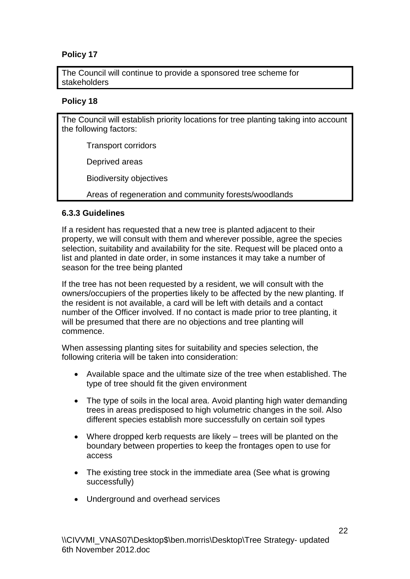## **Policy 17**

The Council will continue to provide a sponsored tree scheme for stakeholders

## **Policy 18**

The Council will establish priority locations for tree planting taking into account the following factors:

Transport corridors

Deprived areas

Biodiversity objectives

Areas of regeneration and community forests/woodlands

## <span id="page-21-0"></span>**6.3.3 Guidelines**

If a resident has requested that a new tree is planted adjacent to their property, we will consult with them and wherever possible, agree the species selection, suitability and availability for the site. Request will be placed onto a list and planted in date order, in some instances it may take a number of season for the tree being planted

If the tree has not been requested by a resident, we will consult with the owners/occupiers of the properties likely to be affected by the new planting. If the resident is not available, a card will be left with details and a contact number of the Officer involved. If no contact is made prior to tree planting, it will be presumed that there are no objections and tree planting will commence.

When assessing planting sites for suitability and species selection, the following criteria will be taken into consideration:

- Available space and the ultimate size of the tree when established. The type of tree should fit the given environment
- The type of soils in the local area. Avoid planting high water demanding trees in areas predisposed to high volumetric changes in the soil. Also different species establish more successfully on certain soil types
- Where dropped kerb requests are likely trees will be planted on the boundary between properties to keep the frontages open to use for access
- The existing tree stock in the immediate area (See what is growing successfully)
- Underground and overhead services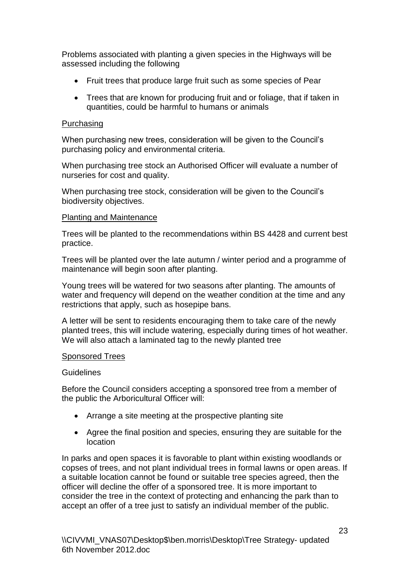Problems associated with planting a given species in the Highways will be assessed including the following

- Fruit trees that produce large fruit such as some species of Pear
- Trees that are known for producing fruit and or foliage, that if taken in quantities, could be harmful to humans or animals

#### Purchasing

When purchasing new trees, consideration will be given to the Council's purchasing policy and environmental criteria.

When purchasing tree stock an Authorised Officer will evaluate a number of nurseries for cost and quality.

When purchasing tree stock, consideration will be given to the Council's biodiversity objectives.

#### Planting and Maintenance

Trees will be planted to the recommendations within BS 4428 and current best practice.

Trees will be planted over the late autumn / winter period and a programme of maintenance will begin soon after planting.

Young trees will be watered for two seasons after planting. The amounts of water and frequency will depend on the weather condition at the time and any restrictions that apply, such as hosepipe bans.

A letter will be sent to residents encouraging them to take care of the newly planted trees, this will include watering, especially during times of hot weather. We will also attach a laminated tag to the newly planted tree

#### Sponsored Trees

#### **Guidelines**

Before the Council considers accepting a sponsored tree from a member of the public the Arboricultural Officer will:

- Arrange a site meeting at the prospective planting site
- Agree the final position and species, ensuring they are suitable for the location

In parks and open spaces it is favorable to plant within existing woodlands or copses of trees, and not plant individual trees in formal lawns or open areas. If a suitable location cannot be found or suitable tree species agreed, then the officer will decline the offer of a sponsored tree. It is more important to consider the tree in the context of protecting and enhancing the park than to accept an offer of a tree just to satisfy an individual member of the public.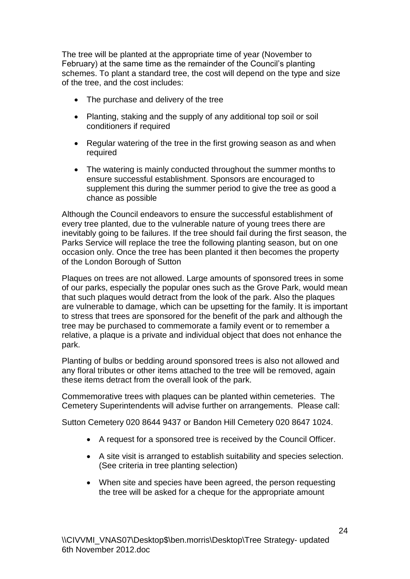The tree will be planted at the appropriate time of year (November to February) at the same time as the remainder of the Council's planting schemes. To plant a standard tree, the cost will depend on the type and size of the tree, and the cost includes:

- The purchase and delivery of the tree
- Planting, staking and the supply of any additional top soil or soil conditioners if required
- Regular watering of the tree in the first growing season as and when required
- The watering is mainly conducted throughout the summer months to ensure successful establishment. Sponsors are encouraged to supplement this during the summer period to give the tree as good a chance as possible

Although the Council endeavors to ensure the successful establishment of every tree planted, due to the vulnerable nature of young trees there are inevitably going to be failures. If the tree should fail during the first season, the Parks Service will replace the tree the following planting season, but on one occasion only. Once the tree has been planted it then becomes the property of the London Borough of Sutton

Plaques on trees are not allowed. Large amounts of sponsored trees in some of our parks, especially the popular ones such as the Grove Park, would mean that such plaques would detract from the look of the park. Also the plaques are vulnerable to damage, which can be upsetting for the family. It is important to stress that trees are sponsored for the benefit of the park and although the tree may be purchased to commemorate a family event or to remember a relative, a plaque is a private and individual object that does not enhance the park.

Planting of bulbs or bedding around sponsored trees is also not allowed and any floral tributes or other items attached to the tree will be removed, again these items detract from the overall look of the park.

Commemorative trees with plaques can be planted within cemeteries. The Cemetery Superintendents will advise further on arrangements. Please call:

Sutton Cemetery 020 8644 9437 or Bandon Hill Cemetery 020 8647 1024.

- A request for a sponsored tree is received by the Council Officer.
- A site visit is arranged to establish suitability and species selection. (See criteria in tree planting selection)
- When site and species have been agreed, the person requesting the tree will be asked for a cheque for the appropriate amount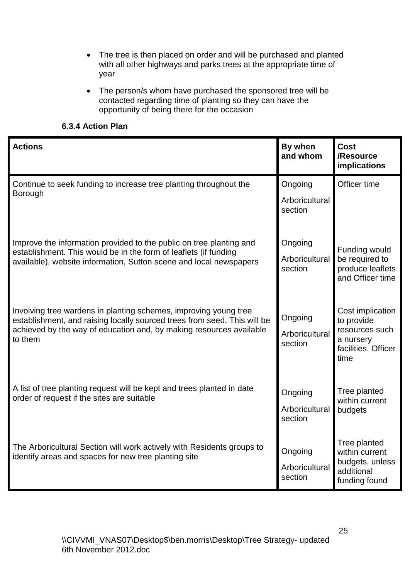- The tree is then placed on order and will be purchased and planted with all other highways and parks trees at the appropriate time of year
- The person/s whom have purchased the sponsored tree will be contacted regarding time of planting so they can have the opportunity of being there for the occasion

## <span id="page-24-0"></span>**6.3.4 Action Plan**

| <b>Actions</b>                                                                                                                                                                                                                 | By when<br>and whom                  | <b>Cost</b><br>/Resource<br>implications                                                     |
|--------------------------------------------------------------------------------------------------------------------------------------------------------------------------------------------------------------------------------|--------------------------------------|----------------------------------------------------------------------------------------------|
| Continue to seek funding to increase tree planting throughout the<br><b>Borough</b>                                                                                                                                            | Ongoing<br>Arboricultural<br>section | Officer time                                                                                 |
| Improve the information provided to the public on tree planting and<br>establishment. This would be in the form of leaflets (if funding<br>available), website information, Sutton scene and local newspapers                  | Ongoing<br>Arboricultural<br>section | Funding would<br>be required to<br>produce leaflets<br>and Officer time                      |
| Involving tree wardens in planting schemes, improving young tree<br>establishment, and raising locally sourced trees from seed. This will be<br>achieved by the way of education and, by making resources available<br>to them | Ongoing<br>Arboricultural<br>section | Cost implication<br>to provide<br>resources such<br>a nursery<br>facilities. Officer<br>time |
| A list of tree planting request will be kept and trees planted in date<br>order of request if the sites are suitable                                                                                                           | Ongoing<br>Arboricultural<br>section | Tree planted<br>within current<br>budgets                                                    |
| The Arboricultural Section will work actively with Residents groups to<br>identify areas and spaces for new tree planting site                                                                                                 | Ongoing<br>Arboricultural<br>section | Tree planted<br>within current<br>budgets, unless<br>additional<br>funding found             |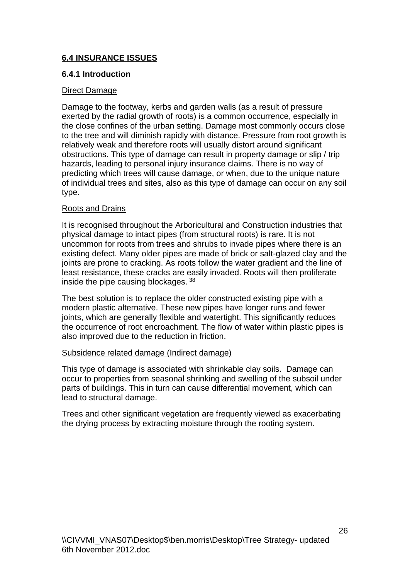## <span id="page-25-0"></span>**6.4 INSURANCE ISSUES**

## <span id="page-25-1"></span>**6.4.1 Introduction**

## Direct Damage

Damage to the footway, kerbs and garden walls (as a result of pressure exerted by the radial growth of roots) is a common occurrence, especially in the close confines of the urban setting. Damage most commonly occurs close to the tree and will diminish rapidly with distance. Pressure from root growth is relatively weak and therefore roots will usually distort around significant obstructions. This type of damage can result in property damage or slip / trip hazards, leading to personal injury insurance claims. There is no way of predicting which trees will cause damage, or when, due to the unique nature of individual trees and sites, also as this type of damage can occur on any soil type.

## Roots and Drains

It is recognised throughout the Arboricultural and Construction industries that physical damage to intact pipes (from structural roots) is rare. It is not uncommon for roots from trees and shrubs to invade pipes where there is an existing defect. Many older pipes are made of brick or salt-glazed clay and the joints are prone to cracking. As roots follow the water gradient and the line of least resistance, these cracks are easily invaded. Roots will then proliferate inside the pipe causing blockages. <sup>38</sup>

The best solution is to replace the older constructed existing pipe with a modern plastic alternative. These new pipes have longer runs and fewer joints, which are generally flexible and watertight. This significantly reduces the occurrence of root encroachment. The flow of water within plastic pipes is also improved due to the reduction in friction.

#### Subsidence related damage (Indirect damage)

This type of damage is associated with shrinkable clay soils. Damage can occur to properties from seasonal shrinking and swelling of the subsoil under parts of buildings. This in turn can cause differential movement, which can lead to structural damage.

Trees and other significant vegetation are frequently viewed as exacerbating the drying process by extracting moisture through the rooting system.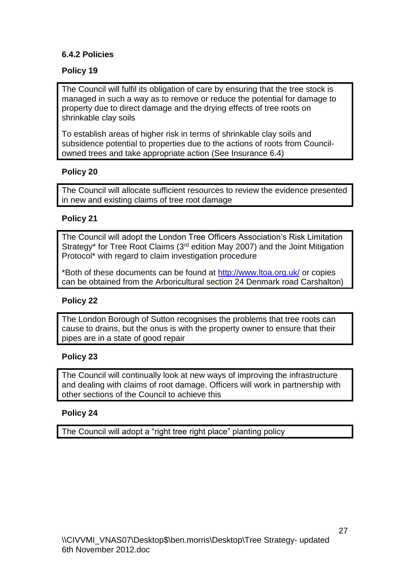## <span id="page-26-0"></span>**6.4.2 Policies**

## **Policy 19**

The Council will fulfil its obligation of care by ensuring that the tree stock is managed in such a way as to remove or reduce the potential for damage to property due to direct damage and the drying effects of tree roots on shrinkable clay soils

To establish areas of higher risk in terms of shrinkable clay soils and subsidence potential to properties due to the actions of roots from Councilowned trees and take appropriate action (See Insurance 6.4)

#### **Policy 20**

The Council will allocate sufficient resources to review the evidence presented in new and existing claims of tree root damage

#### **Policy 21**

The Council will adopt the London Tree Officers Association's Risk Limitation Strategy\* for Tree Root Claims (3rd edition May 2007) and the Joint Mitigation Protocol\* with regard to claim investigation procedure

\*Both of these documents can be found at<http://www.ltoa.org.uk/> or copies can be obtained from the Arboricultural section 24 Denmark road Carshalton)

## **Policy 22**

The London Borough of Sutton recognises the problems that tree roots can cause to drains, but the onus is with the property owner to ensure that their pipes are in a state of good repair

#### **Policy 23**

The Council will continually look at new ways of improving the infrastructure and dealing with claims of root damage. Officers will work in partnership with other sections of the Council to achieve this

#### **Policy 24**

The Council will adopt a "right tree right place" planting policy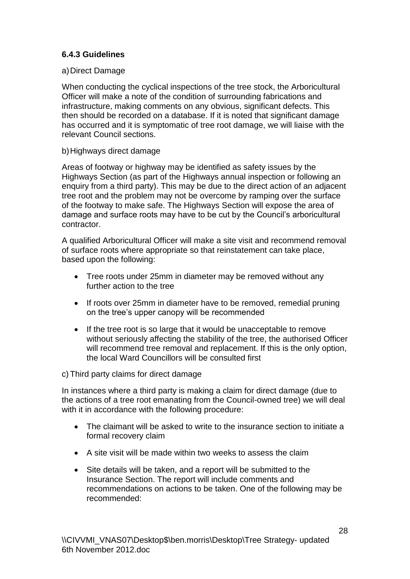## <span id="page-27-0"></span>**6.4.3 Guidelines**

#### a)Direct Damage

When conducting the cyclical inspections of the tree stock, the Arboricultural Officer will make a note of the condition of surrounding fabrications and infrastructure, making comments on any obvious, significant defects. This then should be recorded on a database. If it is noted that significant damage has occurred and it is symptomatic of tree root damage, we will liaise with the relevant Council sections.

#### b)Highways direct damage

Areas of footway or highway may be identified as safety issues by the Highways Section (as part of the Highways annual inspection or following an enquiry from a third party). This may be due to the direct action of an adjacent tree root and the problem may not be overcome by ramping over the surface of the footway to make safe. The Highways Section will expose the area of damage and surface roots may have to be cut by the Council's arboricultural contractor.

A qualified Arboricultural Officer will make a site visit and recommend removal of surface roots where appropriate so that reinstatement can take place, based upon the following:

- Tree roots under 25mm in diameter may be removed without any further action to the tree
- If roots over 25mm in diameter have to be removed, remedial pruning on the tree's upper canopy will be recommended
- If the tree root is so large that it would be unacceptable to remove without seriously affecting the stability of the tree, the authorised Officer will recommend tree removal and replacement. If this is the only option, the local Ward Councillors will be consulted first

#### c) Third party claims for direct damage

In instances where a third party is making a claim for direct damage (due to the actions of a tree root emanating from the Council-owned tree) we will deal with it in accordance with the following procedure:

- The claimant will be asked to write to the insurance section to initiate a formal recovery claim
- A site visit will be made within two weeks to assess the claim
- Site details will be taken, and a report will be submitted to the Insurance Section. The report will include comments and recommendations on actions to be taken. One of the following may be recommended: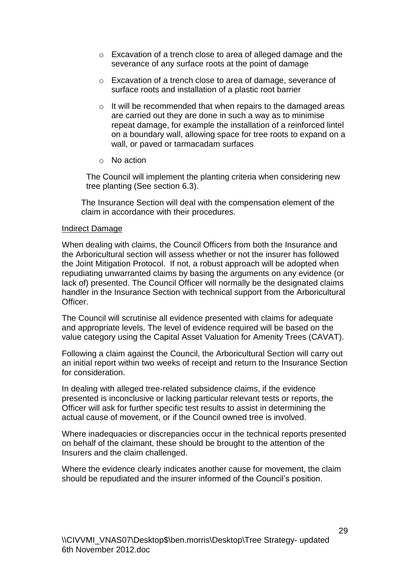- o Excavation of a trench close to area of alleged damage and the severance of any surface roots at the point of damage
- o Excavation of a trench close to area of damage, severance of surface roots and installation of a plastic root barrier
- o It will be recommended that when repairs to the damaged areas are carried out they are done in such a way as to minimise repeat damage, for example the installation of a reinforced lintel on a boundary wall, allowing space for tree roots to expand on a wall, or paved or tarmacadam surfaces
- o No action

The Council will implement the planting criteria when considering new tree planting (See section 6.3).

The Insurance Section will deal with the compensation element of the claim in accordance with their procedures.

#### Indirect Damage

When dealing with claims, the Council Officers from both the Insurance and the Arboricultural section will assess whether or not the insurer has followed the Joint Mitigation Protocol. If not, a robust approach will be adopted when repudiating unwarranted claims by basing the arguments on any evidence (or lack of) presented. The Council Officer will normally be the designated claims handler in the Insurance Section with technical support from the Arboricultural Officer.

The Council will scrutinise all evidence presented with claims for adequate and appropriate levels. The level of evidence required will be based on the value category using the Capital Asset Valuation for Amenity Trees (CAVAT).

Following a claim against the Council, the Arboricultural Section will carry out an initial report within two weeks of receipt and return to the Insurance Section for consideration.

In dealing with alleged tree-related subsidence claims, if the evidence presented is inconclusive or lacking particular relevant tests or reports, the Officer will ask for further specific test results to assist in determining the actual cause of movement, or if the Council owned tree is involved.

Where inadequacies or discrepancies occur in the technical reports presented on behalf of the claimant, these should be brought to the attention of the Insurers and the claim challenged.

Where the evidence clearly indicates another cause for movement, the claim should be repudiated and the insurer informed of the Council's position.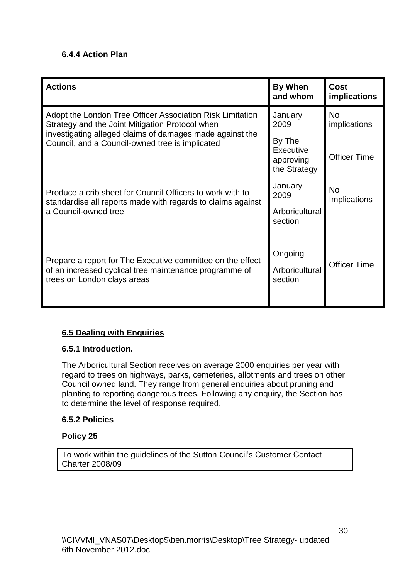## <span id="page-29-0"></span>**6.4.4 Action Plan**

| <b>Actions</b>                                                                                                                                      | By When<br>and whom                              | <b>Cost</b><br><i>implications</i> |
|-----------------------------------------------------------------------------------------------------------------------------------------------------|--------------------------------------------------|------------------------------------|
| Adopt the London Tree Officer Association Risk Limitation<br>Strategy and the Joint Mitigation Protocol when                                        | January<br>2009                                  | <b>No</b><br>implications          |
| investigating alleged claims of damages made against the<br>Council, and a Council-owned tree is implicated                                         | By The<br>Executive<br>approving<br>the Strategy | <b>Officer Time</b>                |
| Produce a crib sheet for Council Officers to work with to<br>standardise all reports made with regards to claims against<br>a Council-owned tree    | January<br>2009                                  | No<br>Implications                 |
|                                                                                                                                                     | Arboricultural<br>section                        |                                    |
| Prepare a report for The Executive committee on the effect<br>of an increased cyclical tree maintenance programme of<br>trees on London clays areas | Ongoing<br>Arboricultural<br>section             | <b>Officer Time</b>                |

## <span id="page-29-1"></span>**6.5 Dealing with Enquiries**

## <span id="page-29-2"></span>**6.5.1 Introduction.**

The Arboricultural Section receives on average 2000 enquiries per year with regard to trees on highways, parks, cemeteries, allotments and trees on other Council owned land. They range from general enquiries about pruning and planting to reporting dangerous trees. Following any enquiry, the Section has to determine the level of response required.

## <span id="page-29-3"></span>**6.5.2 Policies**

## **Policy 25**

To work within the guidelines of the Sutton Council's Customer Contact Charter 2008/09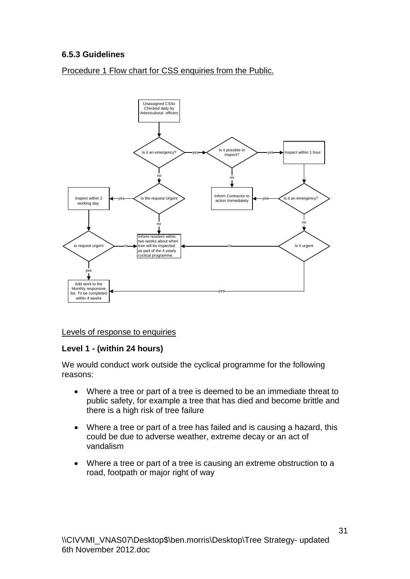## <span id="page-30-0"></span>**6.5.3 Guidelines**

Procedure 1 Flow chart for CSS enquiries from the Public.



#### Levels of response to enquiries

#### **Level 1 - (within 24 hours)**

We would conduct work outside the cyclical programme for the following reasons:

- Where a tree or part of a tree is deemed to be an immediate threat to public safety, for example a tree that has died and become brittle and there is a high risk of tree failure
- Where a tree or part of a tree has failed and is causing a hazard, this could be due to adverse weather, extreme decay or an act of vandalism
- Where a tree or part of a tree is causing an extreme obstruction to a road, footpath or major right of way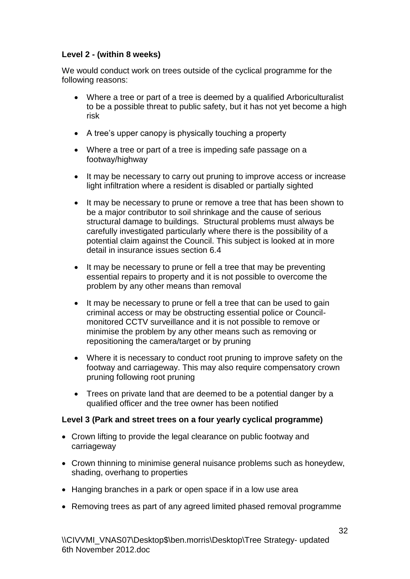## **Level 2 - (within 8 weeks)**

We would conduct work on trees outside of the cyclical programme for the following reasons:

- Where a tree or part of a tree is deemed by a qualified Arboriculturalist to be a possible threat to public safety, but it has not yet become a high risk
- A tree's upper canopy is physically touching a property
- Where a tree or part of a tree is impeding safe passage on a footway/highway
- It may be necessary to carry out pruning to improve access or increase light infiltration where a resident is disabled or partially sighted
- It may be necessary to prune or remove a tree that has been shown to be a major contributor to soil shrinkage and the cause of serious structural damage to buildings. Structural problems must always be carefully investigated particularly where there is the possibility of a potential claim against the Council. This subject is looked at in more detail in insurance issues section 6.4
- It may be necessary to prune or fell a tree that may be preventing essential repairs to property and it is not possible to overcome the problem by any other means than removal
- It may be necessary to prune or fell a tree that can be used to gain criminal access or may be obstructing essential police or Councilmonitored CCTV surveillance and it is not possible to remove or minimise the problem by any other means such as removing or repositioning the camera/target or by pruning
- Where it is necessary to conduct root pruning to improve safety on the footway and carriageway. This may also require compensatory crown pruning following root pruning
- Trees on private land that are deemed to be a potential danger by a qualified officer and the tree owner has been notified

## **Level 3 (Park and street trees on a four yearly cyclical programme)**

- Crown lifting to provide the legal clearance on public footway and carriageway
- Crown thinning to minimise general nuisance problems such as honeydew, shading, overhang to properties
- Hanging branches in a park or open space if in a low use area
- Removing trees as part of any agreed limited phased removal programme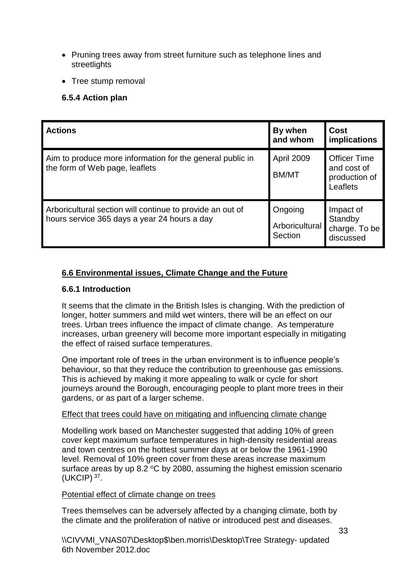- Pruning trees away from street furniture such as telephone lines and **streetlights**
- Tree stump removal

## <span id="page-32-0"></span>**6.5.4 Action plan**

| <b>Actions</b>                                                                                            | By when<br>and whom                  | <b>Cost</b><br>implications                                     |
|-----------------------------------------------------------------------------------------------------------|--------------------------------------|-----------------------------------------------------------------|
| Aim to produce more information for the general public in<br>the form of Web page, leaflets               | April 2009<br><b>BM/MT</b>           | <b>Officer Time</b><br>and cost of<br>production of<br>Leaflets |
| Arboricultural section will continue to provide an out of<br>hours service 365 days a year 24 hours a day | Ongoing<br>Arboricultural<br>Section | Impact of<br>Standby<br>charge. To be<br>discussed              |

## <span id="page-32-1"></span>**6.6 Environmental issues, Climate Change and the Future**

## <span id="page-32-2"></span>**6.6.1 Introduction**

It seems that the climate in the British Isles is changing. With the prediction of longer, hotter summers and mild wet winters, there will be an effect on our trees. Urban trees influence the impact of climate change. As temperature increases, urban greenery will become more important especially in mitigating the effect of raised surface temperatures.

One important role of trees in the urban environment is to influence people's behaviour, so that they reduce the contribution to greenhouse gas emissions. This is achieved by making it more appealing to walk or cycle for short journeys around the Borough, encouraging people to plant more trees in their gardens, or as part of a larger scheme.

#### Effect that trees could have on mitigating and influencing climate change

Modelling work based on Manchester suggested that adding 10% of green cover kept maximum surface temperatures in high-density residential areas and town centres on the hottest summer days at or below the 1961-1990 level. Removal of 10% green cover from these areas increase maximum surface areas by up 8.2  $\degree$ C by 2080, assuming the highest emission scenario  $(UKCIP)$ <sup>37</sup>.

#### Potential effect of climate change on trees

Trees themselves can be adversely affected by a changing climate, both by the climate and the proliferation of native or introduced pest and diseases.

\\CIVVMI\_VNAS07\Desktop\$\ben.morris\Desktop\Tree Strategy- updated 6th November 2012.doc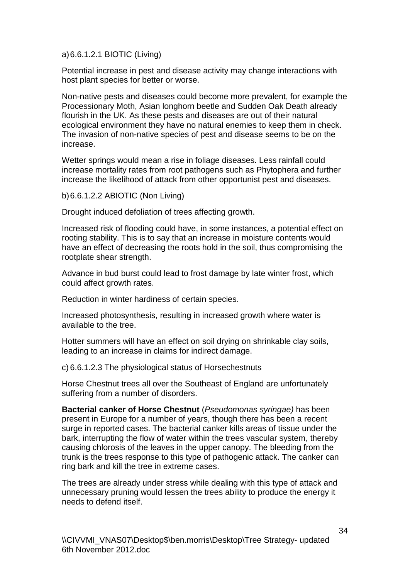a)6.6.1.2.1 BIOTIC (Living)

Potential increase in pest and disease activity may change interactions with host plant species for better or worse.

Non-native pests and diseases could become more prevalent, for example the Processionary Moth, Asian longhorn beetle and Sudden Oak Death already flourish in the UK. As these pests and diseases are out of their natural ecological environment they have no natural enemies to keep them in check. The invasion of non-native species of pest and disease seems to be on the increase.

Wetter springs would mean a rise in foliage diseases. Less rainfall could increase mortality rates from root pathogens such as Phytophera and further increase the likelihood of attack from other opportunist pest and diseases.

b)6.6.1.2.2 ABIOTIC (Non Living)

Drought induced defoliation of trees affecting growth.

Increased risk of flooding could have, in some instances, a potential effect on rooting stability. This is to say that an increase in moisture contents would have an effect of decreasing the roots hold in the soil, thus compromising the rootplate shear strength.

Advance in bud burst could lead to frost damage by late winter frost, which could affect growth rates.

Reduction in winter hardiness of certain species.

Increased photosynthesis, resulting in increased growth where water is available to the tree.

Hotter summers will have an effect on soil drying on shrinkable clay soils, leading to an increase in claims for indirect damage.

c) 6.6.1.2.3 The physiological status of Horsechestnuts

Horse Chestnut trees all over the Southeast of England are unfortunately suffering from a number of disorders.

**Bacterial canker of Horse Chestnut** (*Pseudomonas syringae)* has been present in Europe for a number of years, though there has been a recent surge in reported cases. The bacterial canker kills areas of tissue under the bark, interrupting the flow of water within the trees vascular system, thereby causing chlorosis of the leaves in the upper canopy. The bleeding from the trunk is the trees response to this type of pathogenic attack. The canker can ring bark and kill the tree in extreme cases.

The trees are already under stress while dealing with this type of attack and unnecessary pruning would lessen the trees ability to produce the energy it needs to defend itself.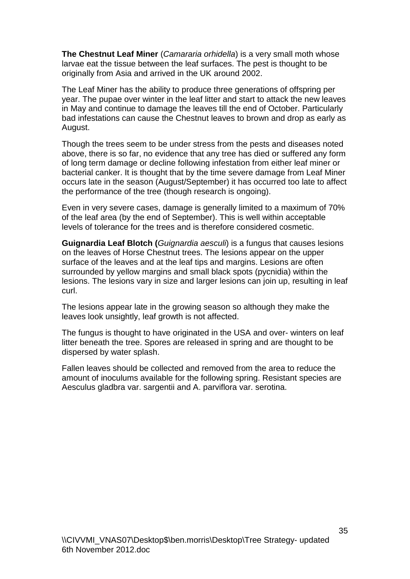**The Chestnut Leaf Miner** (*Camararia orhidella*) is a very small moth whose larvae eat the tissue between the leaf surfaces. The pest is thought to be originally from Asia and arrived in the UK around 2002.

The Leaf Miner has the ability to produce three generations of offspring per year. The pupae over winter in the leaf litter and start to attack the new leaves in May and continue to damage the leaves till the end of October. Particularly bad infestations can cause the Chestnut leaves to brown and drop as early as August.

Though the trees seem to be under stress from the pests and diseases noted above, there is so far, no evidence that any tree has died or suffered any form of long term damage or decline following infestation from either leaf miner or bacterial canker. It is thought that by the time severe damage from Leaf Miner occurs late in the season (August/September) it has occurred too late to affect the performance of the tree (though research is ongoing).

Even in very severe cases, damage is generally limited to a maximum of 70% of the leaf area (by the end of September). This is well within acceptable levels of tolerance for the trees and is therefore considered cosmetic.

**Guignardia Leaf Blotch (***Guignardia aesculi*) is a fungus that causes lesions on the leaves of Horse Chestnut trees. The lesions appear on the upper surface of the leaves and at the leaf tips and margins. Lesions are often surrounded by yellow margins and small black spots (pycnidia) within the lesions. The lesions vary in size and larger lesions can join up, resulting in leaf curl.

The lesions appear late in the growing season so although they make the leaves look unsightly, leaf growth is not affected.

The fungus is thought to have originated in the USA and over- winters on leaf litter beneath the tree. Spores are released in spring and are thought to be dispersed by water splash.

Fallen leaves should be collected and removed from the area to reduce the amount of inoculums available for the following spring. Resistant species are Aesculus gladbra var. sargentii and A. parviflora var. serotina.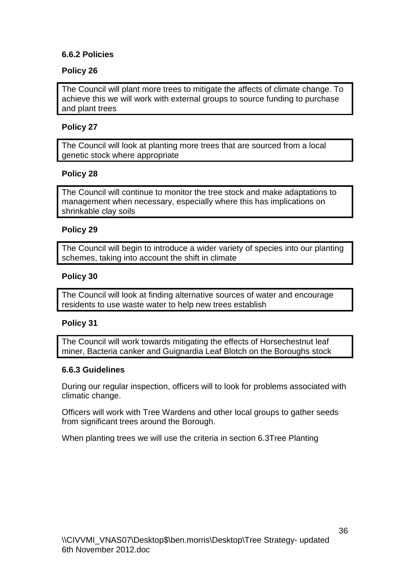## <span id="page-35-0"></span>**6.6.2 Policies**

## **Policy 26**

The Council will plant more trees to mitigate the affects of climate change. To achieve this we will work with external groups to source funding to purchase and plant trees

## **Policy 27**

The Council will look at planting more trees that are sourced from a local genetic stock where appropriate

## **Policy 28**

The Council will continue to monitor the tree stock and make adaptations to management when necessary, especially where this has implications on shrinkable clay soils

#### **Policy 29**

The Council will begin to introduce a wider variety of species into our planting schemes, taking into account the shift in climate

#### **Policy 30**

The Council will look at finding alternative sources of water and encourage residents to use waste water to help new trees establish

#### **Policy 31**

The Council will work towards mitigating the effects of Horsechestnut leaf miner, Bacteria canker and Guignardia Leaf Blotch on the Boroughs stock

#### <span id="page-35-1"></span>**6.6.3 Guidelines**

During our regular inspection, officers will to look for problems associated with climatic change.

Officers will work with Tree Wardens and other local groups to gather seeds from significant trees around the Borough.

When planting trees we will use the criteria in section 6.3Tree Planting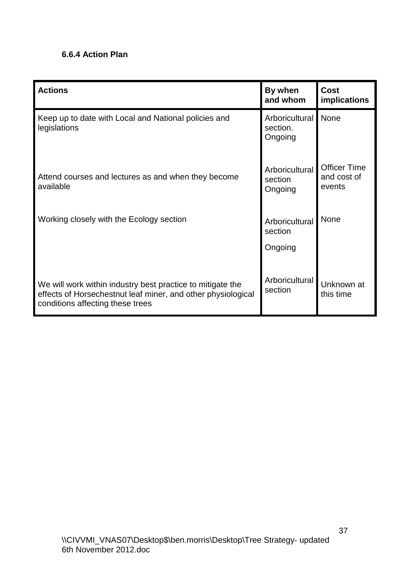## <span id="page-36-0"></span>**6.6.4 Action Plan**

| <b>Actions</b>                                                                                                                                                 | By when<br>and whom                   | <b>Cost</b><br>implications                  |
|----------------------------------------------------------------------------------------------------------------------------------------------------------------|---------------------------------------|----------------------------------------------|
| Keep up to date with Local and National policies and<br>legislations                                                                                           | Arboricultural<br>section.<br>Ongoing | None                                         |
| Attend courses and lectures as and when they become<br>available                                                                                               | Arboricultural<br>section<br>Ongoing  | <b>Officer Time</b><br>and cost of<br>events |
| Working closely with the Ecology section                                                                                                                       | Arboricultural<br>section             | <b>None</b>                                  |
|                                                                                                                                                                | Ongoing                               |                                              |
| We will work within industry best practice to mitigate the<br>effects of Horsechestnut leaf miner, and other physiological<br>conditions affecting these trees | Arboricultural<br>section             | Unknown at<br>this time                      |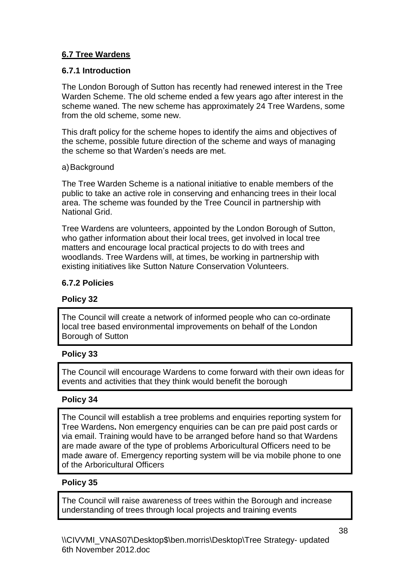## <span id="page-37-0"></span>**6.7 Tree Wardens**

## <span id="page-37-1"></span>**6.7.1 Introduction**

The London Borough of Sutton has recently had renewed interest in the Tree Warden Scheme. The old scheme ended a few years ago after interest in the scheme waned. The new scheme has approximately 24 Tree Wardens, some from the old scheme, some new.

This draft policy for the scheme hopes to identify the aims and objectives of the scheme, possible future direction of the scheme and ways of managing the scheme so that Warden's needs are met.

#### a)Background

The Tree Warden Scheme is a national initiative to enable members of the public to take an active role in conserving and enhancing trees in their local area. The scheme was founded by the Tree Council in partnership with National Grid.

Tree Wardens are volunteers, appointed by the London Borough of Sutton, who gather information about their local trees, get involved in local tree matters and encourage local practical projects to do with trees and woodlands. Tree Wardens will, at times, be working in partnership with existing initiatives like Sutton Nature Conservation Volunteers.

## <span id="page-37-2"></span>**6.7.2 Policies**

#### **Policy 32**

The Council will create a network of informed people who can co-ordinate local tree based environmental improvements on behalf of the London Borough of Sutton

#### **Policy 33**

The Council will encourage Wardens to come forward with their own ideas for events and activities that they think would benefit the borough

#### **Policy 34**

The Council will establish a tree problems and enquiries reporting system for Tree Wardens**.** Non emergency enquiries can be can pre paid post cards or via email. Training would have to be arranged before hand so that Wardens are made aware of the type of problems Arboricultural Officers need to be made aware of. Emergency reporting system will be via mobile phone to one of the Arboricultural Officers

#### **Policy 35**

The Council will raise awareness of trees within the Borough and increase understanding of trees through local projects and training events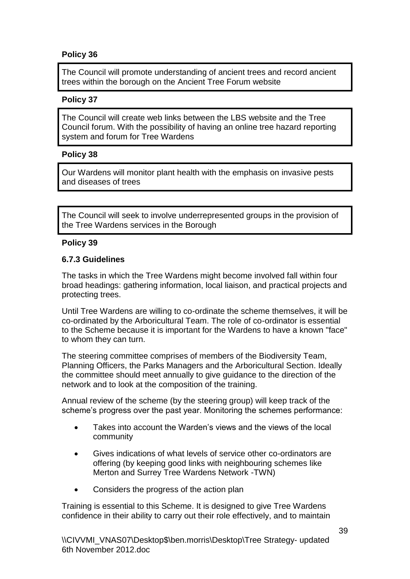## **Policy 36**

The Council will promote understanding of ancient trees and record ancient trees within the borough on the Ancient Tree Forum website

#### **Policy 37**

The Council will create web links between the LBS website and the Tree Council forum. With the possibility of having an online tree hazard reporting system and forum for Tree Wardens

#### **Policy 38**

Our Wardens will monitor plant health with the emphasis on invasive pests and diseases of trees

The Council will seek to involve underrepresented groups in the provision of the Tree Wardens services in the Borough

#### **Policy 39**

#### <span id="page-38-0"></span>**6.7.3 Guidelines**

The tasks in which the Tree Wardens might become involved fall within four broad headings: gathering information, local liaison, and practical projects and protecting trees.

Until Tree Wardens are willing to co-ordinate the scheme themselves, it will be co-ordinated by the Arboricultural Team. The role of co-ordinator is essential to the Scheme because it is important for the Wardens to have a known "face" to whom they can turn.

The steering committee comprises of members of the Biodiversity Team, Planning Officers, the Parks Managers and the Arboricultural Section. Ideally the committee should meet annually to give guidance to the direction of the network and to look at the composition of the training.

Annual review of the scheme (by the steering group) will keep track of the scheme's progress over the past year. Monitoring the schemes performance:

- Takes into account the Warden's views and the views of the local community
- Gives indications of what levels of service other co-ordinators are offering (by keeping good links with neighbouring schemes like Merton and Surrey Tree Wardens Network -TWN)
- Considers the progress of the action plan

Training is essential to this Scheme. It is designed to give Tree Wardens confidence in their ability to carry out their role effectively, and to maintain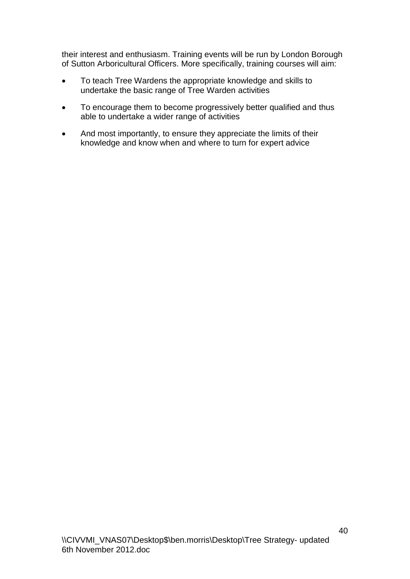their interest and enthusiasm. Training events will be run by London Borough of Sutton Arboricultural Officers. More specifically, training courses will aim:

- To teach Tree Wardens the appropriate knowledge and skills to undertake the basic range of Tree Warden activities
- To encourage them to become progressively better qualified and thus able to undertake a wider range of activities
- And most importantly, to ensure they appreciate the limits of their knowledge and know when and where to turn for expert advice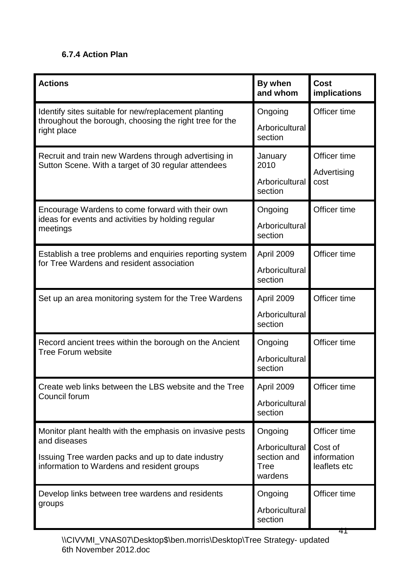## <span id="page-40-0"></span>**6.7.4 Action Plan**

| <b>Actions</b>                                                                                                                                                              | By when<br>and whom                                         | <b>Cost</b><br>implications                            |
|-----------------------------------------------------------------------------------------------------------------------------------------------------------------------------|-------------------------------------------------------------|--------------------------------------------------------|
| Identify sites suitable for new/replacement planting<br>throughout the borough, choosing the right tree for the<br>right place                                              | Ongoing<br>Arboricultural<br>section                        | Officer time                                           |
| Recruit and train new Wardens through advertising in<br>Sutton Scene. With a target of 30 regular attendees                                                                 | January<br>2010<br>Arboricultural<br>section                | Officer time<br>Advertising<br>cost                    |
| Encourage Wardens to come forward with their own<br>ideas for events and activities by holding regular<br>meetings                                                          | Ongoing<br>Arboricultural<br>section                        | Officer time                                           |
| Establish a tree problems and enquiries reporting system<br>for Tree Wardens and resident association                                                                       | April 2009<br>Arboricultural<br>section                     | Officer time                                           |
| Set up an area monitoring system for the Tree Wardens                                                                                                                       | April 2009<br>Arboricultural<br>section                     | Officer time                                           |
| Record ancient trees within the borough on the Ancient<br><b>Tree Forum website</b>                                                                                         | Ongoing<br>Arboricultural<br>section                        | Officer time                                           |
| Create web links between the LBS website and the Tree<br>Council forum                                                                                                      | April 2009<br>Arboricultural<br>section                     | Officer time                                           |
| Monitor plant health with the emphasis on invasive pests<br>and diseases<br>Issuing Tree warden packs and up to date industry<br>information to Wardens and resident groups | Ongoing<br>Arboricultural<br>section and<br>Tree<br>wardens | Officer time<br>Cost of<br>information<br>leaflets etc |
| Develop links between tree wardens and residents<br>groups                                                                                                                  | Ongoing<br>Arboricultural<br>section                        | Officer time<br>41                                     |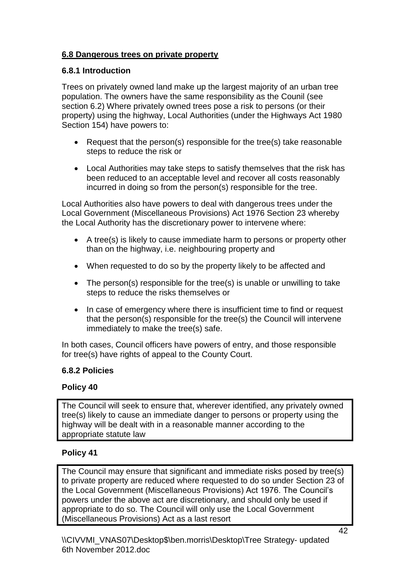## <span id="page-41-0"></span>**6.8 Dangerous trees on private property**

## <span id="page-41-1"></span>**6.8.1 Introduction**

Trees on privately owned land make up the largest majority of an urban tree population. The owners have the same responsibility as the Counil (see section 6.2) Where privately owned trees pose a risk to persons (or their property) using the highway, Local Authorities (under the Highways Act 1980 Section 154) have powers to:

- Request that the person(s) responsible for the tree(s) take reasonable steps to reduce the risk or
- Local Authorities may take steps to satisfy themselves that the risk has been reduced to an acceptable level and recover all costs reasonably incurred in doing so from the person(s) responsible for the tree.

Local Authorities also have powers to deal with dangerous trees under the Local Government (Miscellaneous Provisions) Act 1976 Section 23 whereby the Local Authority has the discretionary power to intervene where:

- A tree(s) is likely to cause immediate harm to persons or property other than on the highway, i.e. neighbouring property and
- When requested to do so by the property likely to be affected and
- The person(s) responsible for the tree(s) is unable or unwilling to take steps to reduce the risks themselves or
- In case of emergency where there is insufficient time to find or request that the person(s) responsible for the tree(s) the Council will intervene immediately to make the tree(s) safe.

In both cases, Council officers have powers of entry, and those responsible for tree(s) have rights of appeal to the County Court.

## <span id="page-41-2"></span>**6.8.2 Policies**

## **Policy 40**

The Council will seek to ensure that, wherever identified, any privately owned tree(s) likely to cause an immediate danger to persons or property using the highway will be dealt with in a reasonable manner according to the appropriate statute law

## **Policy 41**

The Council may ensure that significant and immediate risks posed by tree(s) to private property are reduced where requested to do so under Section 23 of the Local Government (Miscellaneous Provisions) Act 1976. The Council's powers under the above act are discretionary, and should only be used if appropriate to do so. The Council will only use the Local Government (Miscellaneous Provisions) Act as a last resort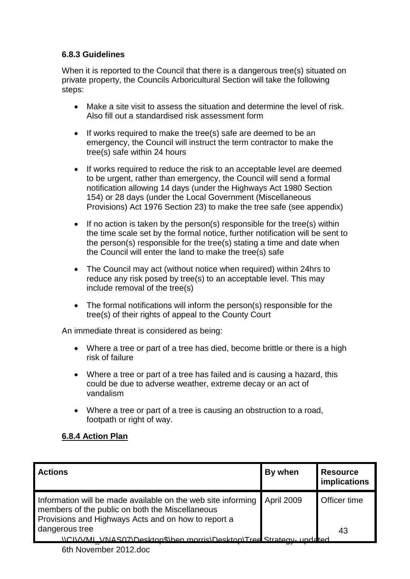## <span id="page-42-0"></span>**6.8.3 Guidelines**

When it is reported to the Council that there is a dangerous tree(s) situated on private property, the Councils Arboricultural Section will take the following steps:

- Make a site visit to assess the situation and determine the level of risk. Also fill out a standardised risk assessment form
- If works required to make the tree(s) safe are deemed to be an emergency, the Council will instruct the term contractor to make the tree(s) safe within 24 hours
- If works required to reduce the risk to an acceptable level are deemed to be urgent, rather than emergency, the Council will send a formal notification allowing 14 days (under the Highways Act 1980 Section 154) or 28 days (under the Local Government (Miscellaneous Provisions) Act 1976 Section 23) to make the tree safe (see appendix)
- $\bullet$  If no action is taken by the person(s) responsible for the tree(s) within the time scale set by the formal notice, further notification will be sent to the person(s) responsible for the tree(s) stating a time and date when the Council will enter the land to make the tree(s) safe
- The Council may act (without notice when required) within 24hrs to reduce any risk posed by tree(s) to an acceptable level. This may include removal of the tree(s)
- The formal notifications will inform the person(s) responsible for the tree(s) of their rights of appeal to the County Court

An immediate threat is considered as being:

- Where a tree or part of a tree has died, become brittle or there is a high risk of failure
- Where a tree or part of a tree has failed and is causing a hazard, this could be due to adverse weather, extreme decay or an act of vandalism
- Where a tree or part of a tree is causing an obstruction to a road, footpath or right of way.

## <span id="page-42-1"></span>**6.8.4 Action Plan**

| <b>Actions</b>                                                                                                                                                         | By when    | <b>Resource</b><br>implications |
|------------------------------------------------------------------------------------------------------------------------------------------------------------------------|------------|---------------------------------|
| Information will be made available on the web site informing<br>members of the public on both the Miscellaneous<br>Provisions and Highways Acts and on how to report a | April 2009 | Officer time                    |
| dangerous tree                                                                                                                                                         |            | 43                              |
| <u>VNAS07\Deskton\$\ben morris\Deskton\Tree Strategy-undated</u>                                                                                                       |            |                                 |
|                                                                                                                                                                        |            |                                 |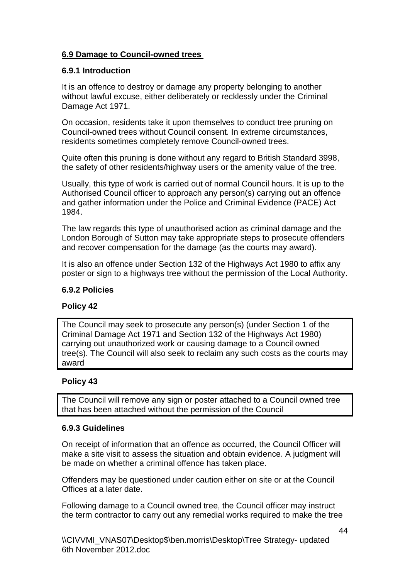## <span id="page-43-0"></span>**6.9 Damage to Council-owned trees**

## <span id="page-43-1"></span>**6.9.1 Introduction**

It is an offence to destroy or damage any property belonging to another without lawful excuse, either deliberately or recklessly under the Criminal Damage Act 1971.

On occasion, residents take it upon themselves to conduct tree pruning on Council-owned trees without Council consent. In extreme circumstances, residents sometimes completely remove Council-owned trees.

Quite often this pruning is done without any regard to British Standard 3998, the safety of other residents/highway users or the amenity value of the tree.

Usually, this type of work is carried out of normal Council hours. It is up to the Authorised Council officer to approach any person(s) carrying out an offence and gather information under the Police and Criminal Evidence (PACE) Act 1984.

The law regards this type of unauthorised action as criminal damage and the London Borough of Sutton may take appropriate steps to prosecute offenders and recover compensation for the damage (as the courts may award).

It is also an offence under Section 132 of the Highways Act 1980 to affix any poster or sign to a highways tree without the permission of the Local Authority.

#### <span id="page-43-2"></span>**6.9.2 Policies**

## **Policy 42**

The Council may seek to prosecute any person(s) (under Section 1 of the Criminal Damage Act 1971 and Section 132 of the Highways Act 1980) carrying out unauthorized work or causing damage to a Council owned tree(s). The Council will also seek to reclaim any such costs as the courts may award

## **Policy 43**

The Council will remove any sign or poster attached to a Council owned tree that has been attached without the permission of the Council

#### <span id="page-43-3"></span>**6.9.3 Guidelines**

On receipt of information that an offence as occurred, the Council Officer will make a site visit to assess the situation and obtain evidence. A judgment will be made on whether a criminal offence has taken place.

Offenders may be questioned under caution either on site or at the Council Offices at a later date.

Following damage to a Council owned tree, the Council officer may instruct the term contractor to carry out any remedial works required to make the tree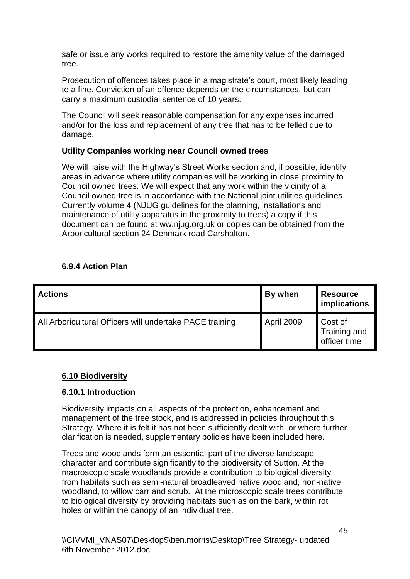safe or issue any works required to restore the amenity value of the damaged tree.

Prosecution of offences takes place in a magistrate's court, most likely leading to a fine. Conviction of an offence depends on the circumstances, but can carry a maximum custodial sentence of 10 years.

The Council will seek reasonable compensation for any expenses incurred and/or for the loss and replacement of any tree that has to be felled due to damage.

## **Utility Companies working near Council owned trees**

We will liaise with the Highway's Street Works section and, if possible, identify areas in advance where utility companies will be working in close proximity to Council owned trees. We will expect that any work within the vicinity of a Council owned tree is in accordance with the National joint utilities guidelines Currently volume 4 (NJUG guidelines for the planning, installations and maintenance of utility apparatus in the proximity to trees) a copy if this document can be found at ww.njug.org.uk or copies can be obtained from the Arboricultural section 24 Denmark road Carshalton.

## <span id="page-44-0"></span>**6.9.4 Action Plan**

| <b>Actions</b>                                           | By when    | <b>Resource</b><br>implications         |
|----------------------------------------------------------|------------|-----------------------------------------|
| All Arboricultural Officers will undertake PACE training | April 2009 | Cost of<br>Training and<br>officer time |

## <span id="page-44-1"></span>**6.10 Biodiversity**

#### <span id="page-44-2"></span>**6.10.1 Introduction**

Biodiversity impacts on all aspects of the protection, enhancement and management of the tree stock, and is addressed in policies throughout this Strategy. Where it is felt it has not been sufficiently dealt with, or where further clarification is needed, supplementary policies have been included here.

Trees and woodlands form an essential part of the diverse landscape character and contribute significantly to the biodiversity of Sutton. At the macroscopic scale woodlands provide a contribution to biological diversity from habitats such as semi-natural broadleaved native woodland, non-native woodland, to willow carr and scrub. At the microscopic scale trees contribute to biological diversity by providing habitats such as on the bark, within rot holes or within the canopy of an individual tree.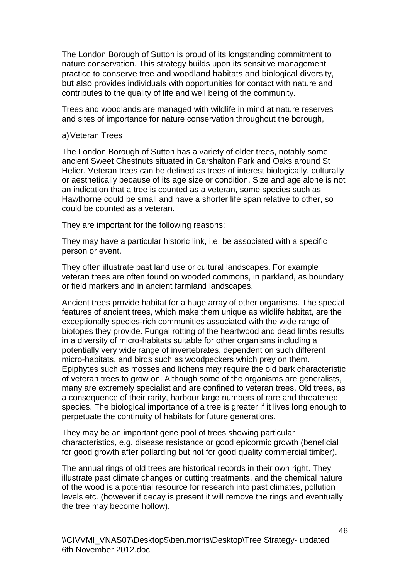The London Borough of Sutton is proud of its longstanding commitment to nature conservation. This strategy builds upon its sensitive management practice to conserve tree and woodland habitats and biological diversity, but also provides individuals with opportunities for contact with nature and contributes to the quality of life and well being of the community.

Trees and woodlands are managed with wildlife in mind at nature reserves and sites of importance for nature conservation throughout the borough,

#### a)Veteran Trees

The London Borough of Sutton has a variety of older trees, notably some ancient Sweet Chestnuts situated in Carshalton Park and Oaks around St Helier. Veteran trees can be defined as trees of interest biologically, culturally or aesthetically because of its age size or condition. Size and age alone is not an indication that a tree is counted as a veteran, some species such as Hawthorne could be small and have a shorter life span relative to other, so could be counted as a veteran.

They are important for the following reasons:

They may have a particular historic link, i.e. be associated with a specific person or event.

They often illustrate past land use or cultural landscapes. For example veteran trees are often found on wooded commons, in parkland, as boundary or field markers and in ancient farmland landscapes.

Ancient trees provide habitat for a huge array of other organisms. The special features of ancient trees, which make them unique as wildlife habitat, are the exceptionally species-rich communities associated with the wide range of biotopes they provide. Fungal rotting of the heartwood and dead limbs results in a diversity of micro-habitats suitable for other organisms including a potentially very wide range of invertebrates, dependent on such different micro-habitats, and birds such as woodpeckers which prey on them. Epiphytes such as mosses and lichens may require the old bark characteristic of veteran trees to grow on. Although some of the organisms are generalists, many are extremely specialist and are confined to veteran trees. Old trees, as a consequence of their rarity, harbour large numbers of rare and threatened species. The biological importance of a tree is greater if it lives long enough to perpetuate the continuity of habitats for future generations.

They may be an important gene pool of trees showing particular characteristics, e.g. disease resistance or good epicormic growth (beneficial for good growth after pollarding but not for good quality commercial timber).

The annual rings of old trees are historical records in their own right. They illustrate past climate changes or cutting treatments, and the chemical nature of the wood is a potential resource for research into past climates, pollution levels etc. (however if decay is present it will remove the rings and eventually the tree may become hollow).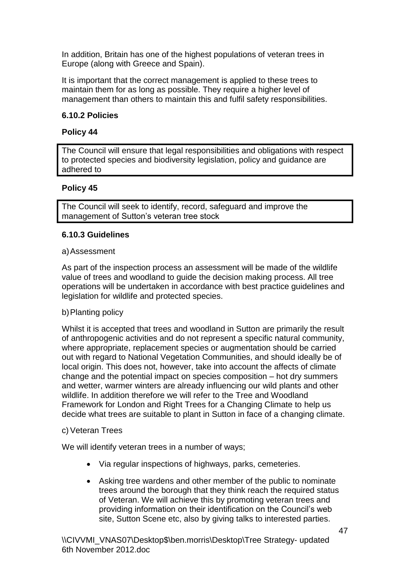In addition, Britain has one of the highest populations of veteran trees in Europe (along with Greece and Spain).

It is important that the correct management is applied to these trees to maintain them for as long as possible. They require a higher level of management than others to maintain this and fulfil safety responsibilities.

## <span id="page-46-0"></span>**6.10.2 Policies**

#### **Policy 44**

The Council will ensure that legal responsibilities and obligations with respect to protected species and biodiversity legislation, policy and guidance are adhered to

## **Policy 45**

The Council will seek to identify, record, safeguard and improve the management of Sutton's veteran tree stock

#### <span id="page-46-1"></span>**6.10.3 Guidelines**

#### a)Assessment

As part of the inspection process an assessment will be made of the wildlife value of trees and woodland to guide the decision making process. All tree operations will be undertaken in accordance with best practice guidelines and legislation for wildlife and protected species.

#### b)Planting policy

Whilst it is accepted that trees and woodland in Sutton are primarily the result of anthropogenic activities and do not represent a specific natural community, where appropriate, replacement species or augmentation should be carried out with regard to National Vegetation Communities, and should ideally be of local origin. This does not, however, take into account the affects of climate change and the potential impact on species composition – hot dry summers and wetter, warmer winters are already influencing our wild plants and other wildlife. In addition therefore we will refer to the Tree and Woodland Framework for London and Right Trees for a Changing Climate to help us decide what trees are suitable to plant in Sutton in face of a changing climate.

#### c) Veteran Trees

We will identify veteran trees in a number of ways;

- Via regular inspections of highways, parks, cemeteries.
- Asking tree wardens and other member of the public to nominate trees around the borough that they think reach the required status of Veteran. We will achieve this by promoting veteran trees and providing information on their identification on the Council's web site, Sutton Scene etc, also by giving talks to interested parties.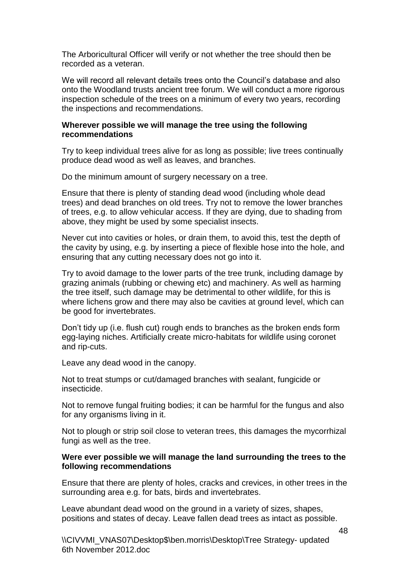The Arboricultural Officer will verify or not whether the tree should then be recorded as a veteran.

We will record all relevant details trees onto the Council's database and also onto the Woodland trusts ancient tree forum. We will conduct a more rigorous inspection schedule of the trees on a minimum of every two years, recording the inspections and recommendations.

#### **Wherever possible we will manage the tree using the following recommendations**

Try to keep individual trees alive for as long as possible; live trees continually produce dead wood as well as leaves, and branches.

Do the minimum amount of surgery necessary on a tree.

Ensure that there is plenty of standing dead wood (including whole dead trees) and dead branches on old trees. Try not to remove the lower branches of trees, e.g. to allow vehicular access. If they are dying, due to shading from above, they might be used by some specialist insects.

Never cut into cavities or holes, or drain them, to avoid this, test the depth of the cavity by using, e.g. by inserting a piece of flexible hose into the hole, and ensuring that any cutting necessary does not go into it.

Try to avoid damage to the lower parts of the tree trunk, including damage by grazing animals (rubbing or chewing etc) and machinery. As well as harming the tree itself, such damage may be detrimental to other wildlife, for this is where lichens grow and there may also be cavities at ground level, which can be good for invertebrates.

Don't tidy up (i.e. flush cut) rough ends to branches as the broken ends form egg-laying niches. Artificially create micro-habitats for wildlife using coronet and rip-cuts.

Leave any dead wood in the canopy.

Not to treat stumps or cut/damaged branches with sealant, fungicide or insecticide.

Not to remove fungal fruiting bodies; it can be harmful for the fungus and also for any organisms living in it.

Not to plough or strip soil close to veteran trees, this damages the mycorrhizal fungi as well as the tree.

#### **Were ever possible we will manage the land surrounding the trees to the following recommendations**

Ensure that there are plenty of holes, cracks and crevices, in other trees in the surrounding area e.g. for bats, birds and invertebrates.

Leave abundant dead wood on the ground in a variety of sizes, shapes, positions and states of decay. Leave fallen dead trees as intact as possible.

\\CIVVMI\_VNAS07\Desktop\$\ben.morris\Desktop\Tree Strategy- updated 6th November 2012.doc